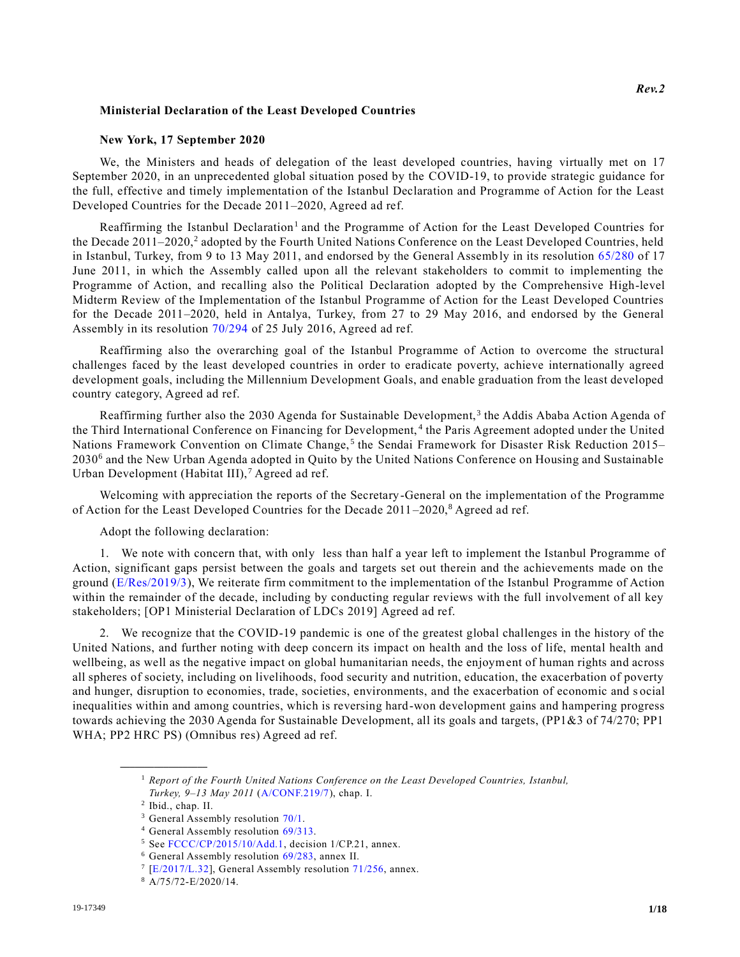## **Ministerial Declaration of the Least Developed Countries**

## **New York, 17 September 2020**

We, the Ministers and heads of delegation of the least developed countries, having virtually met on 17 September 2020, in an unprecedented global situation posed by the COVID-19, to provide strategic guidance for the full, effective and timely implementation of the Istanbul Declaration and Programme of Action for the Least Developed Countries for the Decade 2011–2020, Agreed ad ref.

Reaffirming the Istanbul Declaration<sup>1</sup> and the Programme of Action for the Least Developed Countries for the Decade 2011–2020,<sup>2</sup> adopted by the Fourth United Nations Conference on the Least Developed Countries, held in Istanbul, Turkey, from 9 to 13 May 2011, and endorsed by the General Assemb ly in its resolution [65/280](https://undocs.org/en/A/RES/65/280) of 17 June 2011, in which the Assembly called upon all the relevant stakeholders to commit to implementing the Programme of Action, and recalling also the Political Declaration adopted by the Comprehensive High-level Midterm Review of the Implementation of the Istanbul Programme of Action for the Least Developed Countries for the Decade 2011–2020, held in Antalya, Turkey, from 27 to 29 May 2016, and endorsed by the General Assembly in its resolution [70/294](https://undocs.org/en/A/RES/70/294) of 25 July 2016, Agreed ad ref.

Reaffirming also the overarching goal of the Istanbul Programme of Action to overcome the structural challenges faced by the least developed countries in order to eradicate poverty, achieve internationally agreed development goals, including the Millennium Development Goals, and enable graduation from the least developed country category, Agreed ad ref.

Reaffirming further also the 2030 Agenda for Sustainable Development,<sup>3</sup> the Addis Ababa Action Agenda of the Third International Conference on Financing for Development,<sup>4</sup> the Paris Agreement adopted under the United Nations Framework Convention on Climate Change,<sup>5</sup> the Sendai Framework for Disaster Risk Reduction 2015– 2030<sup>6</sup> and the New Urban Agenda adopted in Quito by the United Nations Conference on Housing and Sustainable Urban Development (Habitat III),<sup>7</sup> Agreed ad ref.

Welcoming with appreciation the reports of the Secretary-General on the implementation of the Programme of Action for the Least Developed Countries for the Decade  $2011-2020$ ,<sup>8</sup> Agreed ad ref.

## Adopt the following declaration:

1. We note with concern that, with only less than half a year left to implement the Istanbul Programme of Action, significant gaps persist between the goals and targets set out therein and the achievements made on the ground [\(E/Res/2019/3\)](https://undocs.org/en/E/Res/2019/3), We reiterate firm commitment to the implementation of the Istanbul Programme of Action within the remainder of the decade, including by conducting regular reviews with the full involvement of all key stakeholders; [OP1 Ministerial Declaration of LDCs 2019] Agreed ad ref.

2. We recognize that the COVID-19 pandemic is one of the greatest global challenges in the history of the United Nations, and further noting with deep concern its impact on health and the loss of life, mental health and wellbeing, as well as the negative impact on global humanitarian needs, the enjoyment of human rights and across all spheres of society, including on livelihoods, food security and nutrition, education, the exacerbation of poverty and hunger, disruption to economies, trade, societies, environments, and the exacerbation of economic and s ocial inequalities within and among countries, which is reversing hard-won development gains and hampering progress towards achieving the 2030 Agenda for Sustainable Development, all its goals and targets, (PP1&3 of 74/270; PP1 WHA; PP2 HRC PS) (Omnibus res) Agreed ad ref.

<sup>1</sup> *Report of the Fourth United Nations Conference on the Least Developed Countries, Istanbul, Turkey, 9–13 May 2011* [\(A/CONF.219/7\)](https://undocs.org/en/A/CONF.219/7), chap. I.

<sup>2</sup> Ibid., chap. II.

<sup>&</sup>lt;sup>3</sup> General Assembly resolution [70/1.](https://undocs.org/en/A/RES/70/1)

<sup>4</sup> General Assembly resolution [69/313.](https://undocs.org/en/A/RES/69/313)

<sup>5</sup> See [FCCC/CP/2015/10/Add.1,](https://undocs.org/en/FCCC/CP/2015/10/Add.1) decision 1/CP.21, annex.

<sup>6</sup> General Assembly resolution [69/283,](https://undocs.org/en/A/RES/69/283) annex II.

<sup>&</sup>lt;sup>7</sup> [\[E/2017/L.32\]](https://undocs.org/en/E/2017/L.32), General Assembly resolution [71/256,](https://undocs.org/en/A/RES/71/256) annex.

<sup>8</sup> A/75/72-E/2020/14.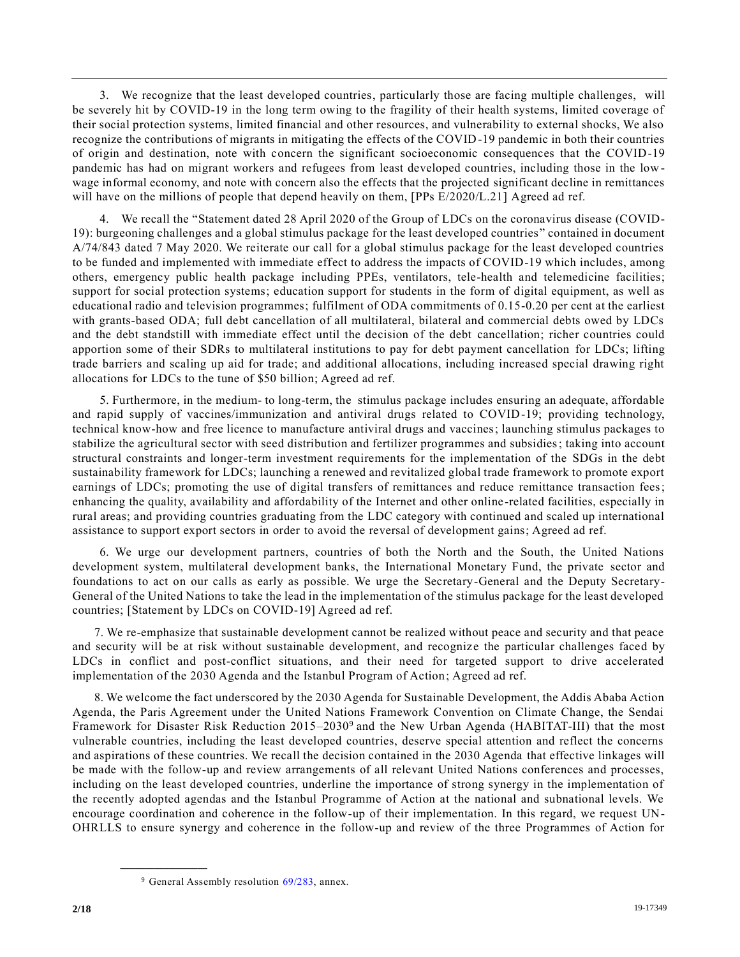3. We recognize that the least developed countries, particularly those are facing multiple challenges, will be severely hit by COVID-19 in the long term owing to the fragility of their health systems, limited coverage of their social protection systems, limited financial and other resources, and vulnerability to external shocks, We also recognize the contributions of migrants in mitigating the effects of the COVID-19 pandemic in both their countries of origin and destination, note with concern the significant socioeconomic consequences that the COVID-19 pandemic has had on migrant workers and refugees from least developed countries, including those in the low wage informal economy, and note with concern also the effects that the projected significant decline in remittances will have on the millions of people that depend heavily on them, [PPs  $E/2020/L.21$ ] Agreed ad ref.

4. We recall the "Statement dated 28 April 2020 of the Group of LDCs on the coronavirus disease (COVID-19): burgeoning challenges and a global stimulus package for the least developed countries" contained in document A/74/843 dated 7 May 2020. We reiterate our call for a global stimulus package for the least developed countries to be funded and implemented with immediate effect to address the impacts of COVID-19 which includes, among others, emergency public health package including PPEs, ventilators, tele-health and telemedicine facilities; support for social protection systems; education support for students in the form of digital equipment, as well as educational radio and television programmes; fulfilment of ODA commitments of 0.15-0.20 per cent at the earliest with grants-based ODA; full debt cancellation of all multilateral, bilateral and commercial debts owed by LDCs and the debt standstill with immediate effect until the decision of the debt cancellation; richer countries could apportion some of their SDRs to multilateral institutions to pay for debt payment cancellation for LDCs; lifting trade barriers and scaling up aid for trade; and additional allocations, including increased special drawing right allocations for LDCs to the tune of \$50 billion; Agreed ad ref.

5. Furthermore, in the medium- to long-term, the stimulus package includes ensuring an adequate, affordable and rapid supply of vaccines/immunization and antiviral drugs related to COVID-19; providing technology, technical know-how and free licence to manufacture antiviral drugs and vaccines; launching stimulus packages to stabilize the agricultural sector with seed distribution and fertilizer programmes and subsidies; taking into account structural constraints and longer-term investment requirements for the implementation of the SDGs in the debt sustainability framework for LDCs; launching a renewed and revitalized global trade framework to promote export earnings of LDCs; promoting the use of digital transfers of remittances and reduce remittance transaction fees; enhancing the quality, availability and affordability of the Internet and other online-related facilities, especially in rural areas; and providing countries graduating from the LDC category with continued and scaled up international assistance to support export sectors in order to avoid the reversal of development gains; Agreed ad ref.

6. We urge our development partners, countries of both the North and the South, the United Nations development system, multilateral development banks, the International Monetary Fund, the private sector and foundations to act on our calls as early as possible. We urge the Secretary-General and the Deputy Secretary-General of the United Nations to take the lead in the implementation of the stimulus package for the least developed countries; [Statement by LDCs on COVID-19] Agreed ad ref.

7. We re-emphasize that sustainable development cannot be realized without peace and security and that peace and security will be at risk without sustainable development, and recognize the particular challenges faced by LDCs in conflict and post-conflict situations, and their need for targeted support to drive accelerated implementation of the 2030 Agenda and the Istanbul Program of Action; Agreed ad ref.

8. We welcome the fact underscored by the 2030 Agenda for Sustainable Development, the Addis Ababa Action Agenda, the Paris Agreement under the United Nations Framework Convention on Climate Change, the Sendai Framework for Disaster Risk Reduction 2015-2030<sup>9</sup> and the New Urban Agenda (HABITAT-III) that the most vulnerable countries, including the least developed countries, deserve special attention and reflect the concerns and aspirations of these countries. We recall the decision contained in the 2030 Agenda that effective linkages will be made with the follow-up and review arrangements of all relevant United Nations conferences and processes, including on the least developed countries, underline the importance of strong synergy in the implementation of the recently adopted agendas and the Istanbul Programme of Action at the national and subnational levels. We encourage coordination and coherence in the follow-up of their implementation. In this regard, we request UN-OHRLLS to ensure synergy and coherence in the follow-up and review of the three Programmes of Action for

<sup>&</sup>lt;sup>9</sup> General Assembly resolution [69/283,](https://undocs.org/en/A/RES/69/283) annex.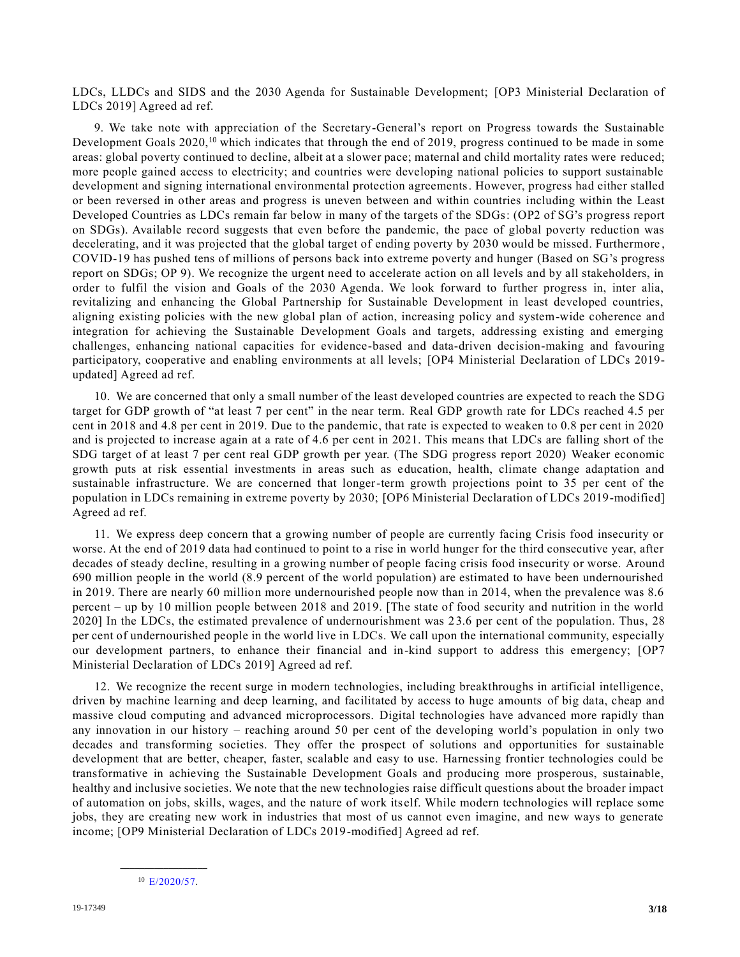LDCs, LLDCs and SIDS and the 2030 Agenda for Sustainable Development; [OP3 Ministerial Declaration of LDCs 2019] Agreed ad ref.

9. We take note with appreciation of the Secretary-General's report on Progress towards the Sustainable Development Goals 2020,<sup>10</sup> which indicates that through the end of 2019, progress continued to be made in some areas: global poverty continued to decline, albeit at a slower pace; maternal and child mortality rates were reduced; more people gained access to electricity; and countries were developing national policies to support sustainable development and signing international environmental protection agreements. However, progress had either stalled or been reversed in other areas and progress is uneven between and within countries including within the Least Developed Countries as LDCs remain far below in many of the targets of the SDGs: (OP2 of SG's progress report on SDGs). Available record suggests that even before the pandemic, the pace of global poverty reduction was decelerating, and it was projected that the global target of ending poverty by 2030 would be missed. Furthermore , COVID-19 has pushed tens of millions of persons back into extreme poverty and hunger (Based on SG's progress report on SDGs; OP 9). We recognize the urgent need to accelerate action on all levels and by all stakeholders, in order to fulfil the vision and Goals of the 2030 Agenda. We look forward to further progress in, inter alia, revitalizing and enhancing the Global Partnership for Sustainable Development in least developed countries, aligning existing policies with the new global plan of action, increasing policy and system-wide coherence and integration for achieving the Sustainable Development Goals and targets, addressing existing and emerging challenges, enhancing national capacities for evidence-based and data-driven decision-making and favouring participatory, cooperative and enabling environments at all levels; [OP4 Ministerial Declaration of LDCs 2019 updated] Agreed ad ref.

10. We are concerned that only a small number of the least developed countries are expected to reach the SDG target for GDP growth of "at least 7 per cent" in the near term. Real GDP growth rate for LDCs reached 4.5 per cent in 2018 and 4.8 per cent in 2019. Due to the pandemic, that rate is expected to weaken to 0.8 per cent in 2020 and is projected to increase again at a rate of 4.6 per cent in 2021. This means that LDCs are falling short of the SDG target of at least 7 per cent real GDP growth per year. (The SDG progress report 2020) Weaker economic growth puts at risk essential investments in areas such as education, health, climate change adaptation and sustainable infrastructure. We are concerned that longer-term growth projections point to 35 per cent of the population in LDCs remaining in extreme poverty by 2030; [OP6 Ministerial Declaration of LDCs 2019-modified] Agreed ad ref.

11. We express deep concern that a growing number of people are currently facing Crisis food insecurity or worse. At the end of 2019 data had continued to point to a rise in world hunger for the third consecutive year, after decades of steady decline, resulting in a growing number of people facing crisis food insecurity or worse. Around 690 million people in the world (8.9 percent of the world population) are estimated to have been undernourished in 2019. There are nearly 60 million more undernourished people now than in 2014, when the prevalence was 8.6 percent – up by 10 million people between 2018 and 2019. [The state of food security and nutrition in the world 2020] In the LDCs, the estimated prevalence of undernourishment was 2 3.6 per cent of the population. Thus, 28 per cent of undernourished people in the world live in LDCs. We call upon the international community, especially our development partners, to enhance their financial and in-kind support to address this emergency; [OP7 Ministerial Declaration of LDCs 2019] Agreed ad ref.

12. We recognize the recent surge in modern technologies, including breakthroughs in artificial intelligence, driven by machine learning and deep learning, and facilitated by access to huge amounts of big data, cheap and massive cloud computing and advanced microprocessors. Digital technologies have advanced more rapidly than any innovation in our history – reaching around 50 per cent of the developing world's population in only two decades and transforming societies. They offer the prospect of solutions and opportunities for sustainable development that are better, cheaper, faster, scalable and easy to use. Harnessing frontier technologies could be transformative in achieving the Sustainable Development Goals and producing more prosperous, sustainable, healthy and inclusive societies. We note that the new technologies raise difficult questions about the broader impact of automation on jobs, skills, wages, and the nature of work itself. While modern technologies will replace some jobs, they are creating new work in industries that most of us cannot even imagine, and new ways to generate income; [OP9 Ministerial Declaration of LDCs 2019-modified] Agreed ad ref.

**\_\_\_\_\_\_\_\_\_\_\_\_\_\_\_\_\_\_**  $10$  [E/2020/5](https://undocs.org/en/E/2018/64)7.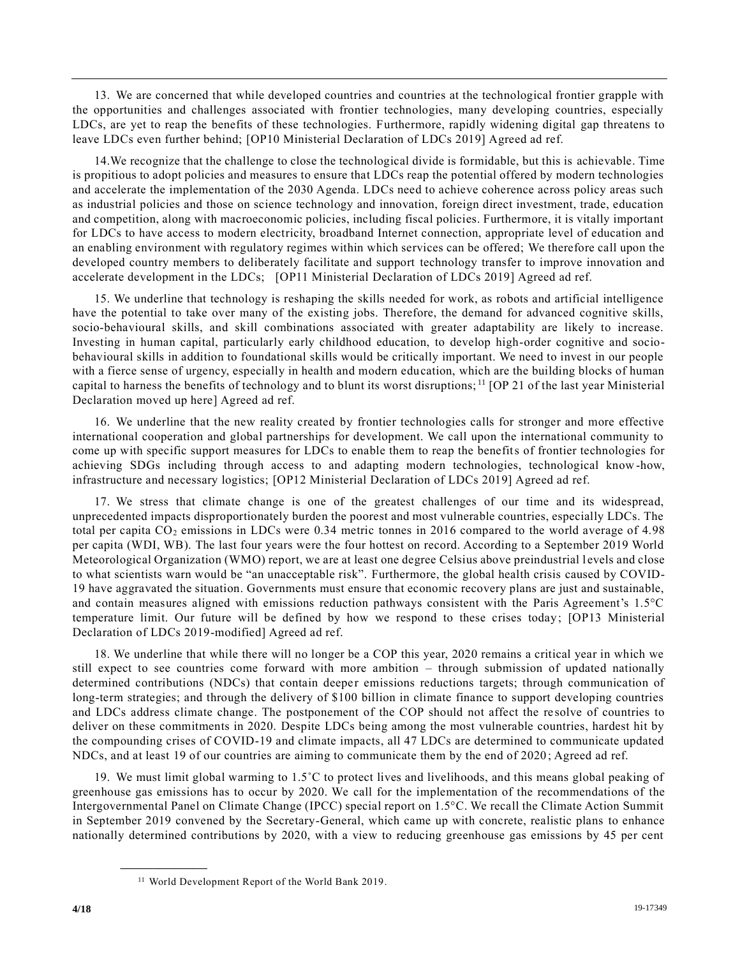13. We are concerned that while developed countries and countries at the technological frontier grapple with the opportunities and challenges associated with frontier technologies, many developing countries, especially LDCs, are yet to reap the benefits of these technologies. Furthermore, rapidly widening digital gap threatens to leave LDCs even further behind; [OP10 Ministerial Declaration of LDCs 2019] Agreed ad ref.

14.We recognize that the challenge to close the technological divide is formidable, but this is achievable. Time is propitious to adopt policies and measures to ensure that LDCs reap the potential offered by modern technologies and accelerate the implementation of the 2030 Agenda. LDCs need to achieve coherence across policy areas such as industrial policies and those on science technology and innovation, foreign direct investment, trade, education and competition, along with macroeconomic policies, including fiscal policies. Furthermore, it is vitally important for LDCs to have access to modern electricity, broadband Internet connection, appropriate level of education and an enabling environment with regulatory regimes within which services can be offered; We therefore call upon the developed country members to deliberately facilitate and support technology transfer to improve innovation and accelerate development in the LDCs; [OP11 Ministerial Declaration of LDCs 2019] Agreed ad ref.

15. We underline that technology is reshaping the skills needed for work, as robots and artificial intelligence have the potential to take over many of the existing jobs. Therefore, the demand for advanced cognitive skills, socio-behavioural skills, and skill combinations associated with greater adaptability are likely to increase. Investing in human capital, particularly early childhood education, to develop high-order cognitive and sociobehavioural skills in addition to foundational skills would be critically important. We need to invest in our people with a fierce sense of urgency, especially in health and modern education, which are the building blocks of human capital to harness the benefits of technology and to blunt its worst disruptions;<sup>11</sup> [OP 21 of the last year Ministerial Declaration moved up here] Agreed ad ref.

16. We underline that the new reality created by frontier technologies calls for stronger and more effective international cooperation and global partnerships for development. We call upon the international community to come up with specific support measures for LDCs to enable them to reap the benefits of frontier technologies for achieving SDGs including through access to and adapting modern technologies, technological know -how, infrastructure and necessary logistics; [OP12 Ministerial Declaration of LDCs 2019] Agreed ad ref.

17. We stress that climate change is one of the greatest challenges of our time and its widespread, unprecedented impacts disproportionately burden the poorest and most vulnerable countries, especially LDCs. The total per capita CO<sub>2</sub> emissions in LDCs were 0.34 metric tonnes in 2016 compared to the world average of 4.98 per capita (WDI, WB). The last four years were the four hottest on record. According to a September 2019 World Meteorological Organization (WMO) report, we are at least one degree Celsius above preindustrial l evels and close to what scientists warn would be "an unacceptable risk". Furthermore, the global health crisis caused by COVID-19 have aggravated the situation. Governments must ensure that economic recovery plans are just and sustainable, and contain measures aligned with emissions reduction pathways consistent with the Paris Agreement's 1.5°C temperature limit. Our future will be defined by how we respond to these crises today; [OP13 Ministerial Declaration of LDCs 2019-modified] Agreed ad ref.

18. We underline that while there will no longer be a COP this year, 2020 remains a critical year in which we still expect to see countries come forward with more ambition – through submission of updated nationally determined contributions (NDCs) that contain deeper emissions reductions targets; through communication of long-term strategies; and through the delivery of \$100 billion in climate finance to support developing countries and LDCs address climate change. The postponement of the COP should not affect the re solve of countries to deliver on these commitments in 2020. Despite LDCs being among the most vulnerable countries, hardest hit by the compounding crises of COVID-19 and climate impacts, all 47 LDCs are determined to communicate updated NDCs, and at least 19 of our countries are aiming to communicate them by the end of 2020 ; Agreed ad ref.

19. We must limit global warming to 1.5˚C to protect lives and livelihoods, and this means global peaking of greenhouse gas emissions has to occur by 2020. We call for the implementation of the recommendations of the Intergovernmental Panel on Climate Change (IPCC) special report on 1.5°C. We recall the Climate Action Summit in September 2019 convened by the Secretary-General, which came up with concrete, realistic plans to enhance nationally determined contributions by 2020, with a view to reducing greenhouse gas emissions by 45 per cent

<sup>11</sup> World Development Report of the World Bank 2019.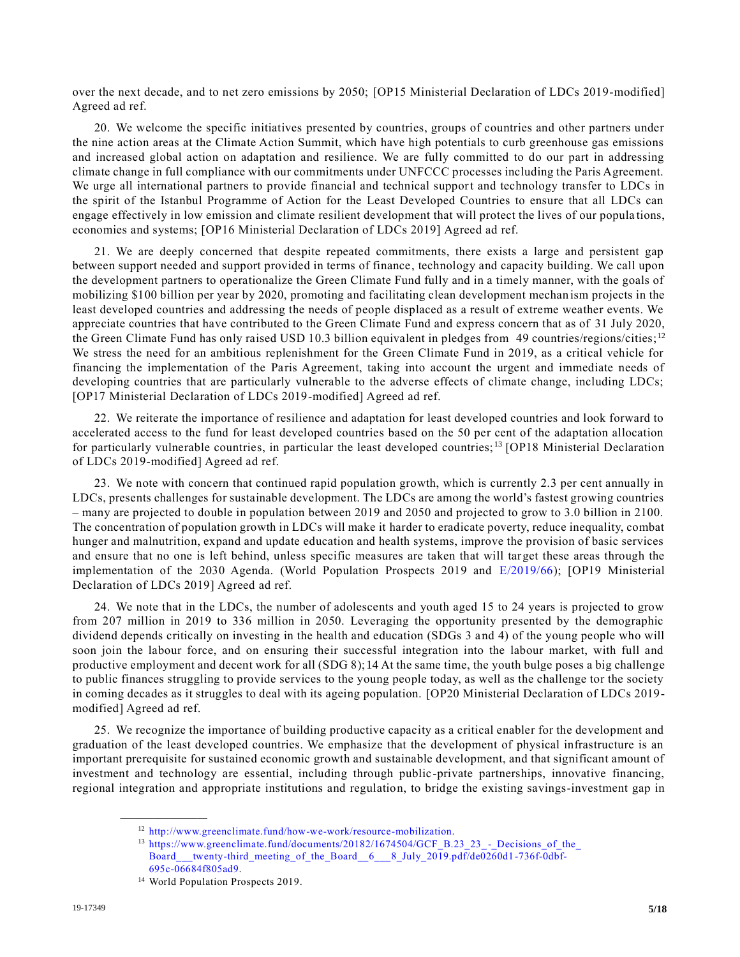over the next decade, and to net zero emissions by 2050; [OP15 Ministerial Declaration of LDCs 2019-modified] Agreed ad ref.

20. We welcome the specific initiatives presented by countries, groups of countries and other partners under the nine action areas at the Climate Action Summit, which have high potentials to curb greenhouse gas emissions and increased global action on adaptation and resilience. We are fully committed to do our part in addressing climate change in full compliance with our commitments under UNFCCC processes including the Paris Agreement. We urge all international partners to provide financial and technical support and technology transfer to LDCs in the spirit of the Istanbul Programme of Action for the Least Developed Countries to ensure that all LDCs can engage effectively in low emission and climate resilient development that will protect the lives of our popula tions, economies and systems; [OP16 Ministerial Declaration of LDCs 2019] Agreed ad ref.

21. We are deeply concerned that despite repeated commitments, there exists a large and persistent gap between support needed and support provided in terms of finance, technology and capacity building. We call upon the development partners to operationalize the Green Climate Fund fully and in a timely manner, with the goals of mobilizing \$100 billion per year by 2020, promoting and facilitating clean development mechan ism projects in the least developed countries and addressing the needs of people displaced as a result of extreme weather events. We appreciate countries that have contributed to the Green Climate Fund and express concern that as of 31 July 2020, the Green Climate Fund has only raised USD 10.3 billion equivalent in pledges from 49 countries/regions/cities;<sup>12</sup> We stress the need for an ambitious replenishment for the Green Climate Fund in 2019, as a critical vehicle for financing the implementation of the Paris Agreement, taking into account the urgent and immediate needs of developing countries that are particularly vulnerable to the adverse effects of climate change, including LDCs; [OP17 Ministerial Declaration of LDCs 2019-modified] Agreed ad ref.

22. We reiterate the importance of resilience and adaptation for least developed countries and look forward to accelerated access to the fund for least developed countries based on the 50 per cent of the adaptation allocation for particularly vulnerable countries, in particular the least developed countries; <sup>13</sup> [OP18 Ministerial Declaration of LDCs 2019-modified] Agreed ad ref.

23. We note with concern that continued rapid population growth, which is currently 2.3 per cent annually in LDCs, presents challenges for sustainable development. The LDCs are among the world's fastest growing countries – many are projected to double in population between 2019 and 2050 and projected to grow to 3.0 billion in 2100. The concentration of population growth in LDCs will make it harder to eradicate poverty, reduce inequality, combat hunger and malnutrition, expand and update education and health systems, improve the provision of basic services and ensure that no one is left behind, unless specific measures are taken that will target these areas through the implementation of the 2030 Agenda. (World Population Prospects 2019 and [E/2019/66\)](https://undocs.org/en/E/2019/66); [OP19 Ministerial Declaration of LDCs 2019] Agreed ad ref.

24. We note that in the LDCs, the number of adolescents and youth aged 15 to 24 years is projected to grow from 207 million in 2019 to 336 million in 2050. Leveraging the opportunity presented by the demographic dividend depends critically on investing in the health and education (SDGs 3 and 4) of the young people who will soon join the labour force, and on ensuring their successful integration into the labour market, with full and productive employment and decent work for all (SDG 8);14 At the same time, the youth bulge poses a big challenge to public finances struggling to provide services to the young people today, as well as the challenge tor the society in coming decades as it struggles to deal with its ageing population. [OP20 Ministerial Declaration of LDCs 2019 modified] Agreed ad ref.

25. We recognize the importance of building productive capacity as a critical enabler for the development and graduation of the least developed countries. We emphasize that the development of physical infrastructure is an important prerequisite for sustained economic growth and sustainable development, and that significant amount of investment and technology are essential, including through public-private partnerships, innovative financing, regional integration and appropriate institutions and regulation, to bridge the existing savings-investment gap in

<sup>12</sup> [http://www.greenclimate.fund/how-we-work/resource-mobilization.](http://www.greenclimate.fund/how-we-work/resource-mobilization) 

<sup>&</sup>lt;sup>13</sup> [https://www.greenclimate.fund/documents/20182/1674504/GCF\\_B.23\\_23\\_](https://www.greenclimate.fund/documents/20182/1674504/GCF_B.23_23_-_Decisions_of_the_Board___twenty-third_meeting_of_the_Board__6___8_July_2019.pdf/de0260d1-736f-0dbf-695c-06684f805ad9)-\_Decisions\_of\_the\_ [Board\\_\\_\\_twenty-third\\_meeting\\_of\\_the\\_Board\\_\\_6\\_\\_\\_8\\_July\\_2019.pdf/de0260d1](https://www.greenclimate.fund/documents/20182/1674504/GCF_B.23_23_-_Decisions_of_the_Board___twenty-third_meeting_of_the_Board__6___8_July_2019.pdf/de0260d1-736f-0dbf-695c-06684f805ad9) -736f-0dbf-[695c-06684f805ad9.](https://www.greenclimate.fund/documents/20182/1674504/GCF_B.23_23_-_Decisions_of_the_Board___twenty-third_meeting_of_the_Board__6___8_July_2019.pdf/de0260d1-736f-0dbf-695c-06684f805ad9)

<sup>&</sup>lt;sup>14</sup> World Population Prospects 2019.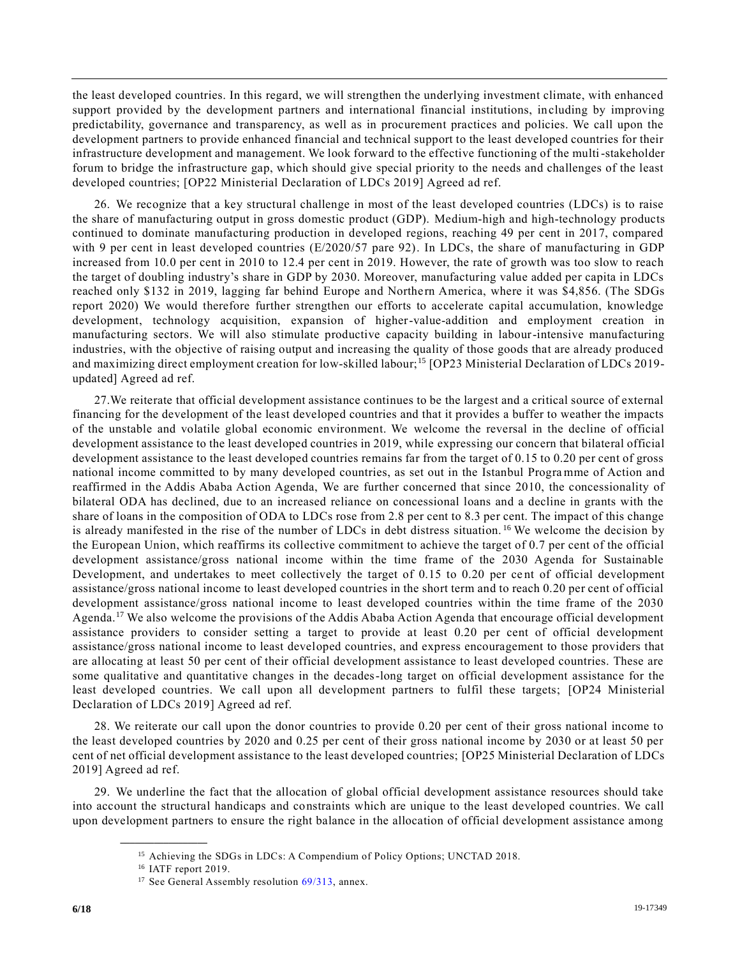the least developed countries. In this regard, we will strengthen the underlying investment climate, with enhanced support provided by the development partners and international financial institutions, in cluding by improving predictability, governance and transparency, as well as in procurement practices and policies. We call upon the development partners to provide enhanced financial and technical support to the least developed countries for their infrastructure development and management. We look forward to the effective functioning of the multi-stakeholder forum to bridge the infrastructure gap, which should give special priority to the needs and challenges of the least developed countries; [OP22 Ministerial Declaration of LDCs 2019] Agreed ad ref.

26. We recognize that a key structural challenge in most of the least developed countries (LDCs) is to raise the share of manufacturing output in gross domestic product (GDP). Medium-high and high-technology products continued to dominate manufacturing production in developed regions, reaching 49 per cent in 2017, compared with 9 per cent in least developed countries (E/2020/57 pare 92). In LDCs, the share of manufacturing in GDP increased from 10.0 per cent in 2010 to 12.4 per cent in 2019. However, the rate of growth was too slow to reach the target of doubling industry's share in GDP by 2030. Moreover, manufacturing value added per capita in LDCs reached only \$132 in 2019, lagging far behind Europe and Northern America, where it was \$4,856. (The SDGs report 2020) We would therefore further strengthen our efforts to accelerate capital accumulation, knowledge development, technology acquisition, expansion of higher-value-addition and employment creation in manufacturing sectors. We will also stimulate productive capacity building in labour-intensive manufacturing industries, with the objective of raising output and increasing the quality of those goods that are already produced and maximizing direct employment creation for low-skilled labour;<sup>15</sup> [OP23 Ministerial Declaration of LDCs 2019updated] Agreed ad ref.

27.We reiterate that official development assistance continues to be the largest and a critical source of external financing for the development of the least developed countries and that it provides a buffer to weather the impacts of the unstable and volatile global economic environment. We welcome the reversal in the decline of official development assistance to the least developed countries in 2019, while expressing our concern that bilateral official development assistance to the least developed countries remains far from the target of 0.15 to 0.20 per cent of gross national income committed to by many developed countries, as set out in the Istanbul Progra mme of Action and reaffirmed in the Addis Ababa Action Agenda, We are further concerned that since 2010, the concessionality of bilateral ODA has declined, due to an increased reliance on concessional loans and a decline in grants with the share of loans in the composition of ODA to LDCs rose from 2.8 per cent to 8.3 per cent. The impact of this change is already manifested in the rise of the number of LDCs in debt distress situation. <sup>16</sup> We welcome the decision by the European Union, which reaffirms its collective commitment to achieve the target of 0.7 per cent of the official development assistance/gross national income within the time frame of the 2030 Agenda for Sustainable Development, and undertakes to meet collectively the target of 0.15 to 0.20 per ce nt of official development assistance/gross national income to least developed countries in the short term and to reach 0.20 per cent of official development assistance/gross national income to least developed countries within the time frame of the 2030 Agenda.<sup>17</sup> We also welcome the provisions of the Addis Ababa Action Agenda that encourage official development assistance providers to consider setting a target to provide at least 0.20 per cent of official development assistance/gross national income to least developed countries, and express encouragement to those providers that are allocating at least 50 per cent of their official development assistance to least developed countries. These are some qualitative and quantitative changes in the decades-long target on official development assistance for the least developed countries. We call upon all development partners to fulfil these targets; [OP24 Ministerial Declaration of LDCs 2019] Agreed ad ref.

28. We reiterate our call upon the donor countries to provide 0.20 per cent of their gross national income to the least developed countries by 2020 and 0.25 per cent of their gross national income by 2030 or at least 50 per cent of net official development assistance to the least developed countries; [OP25 Ministerial Declaration of LDCs 2019] Agreed ad ref.

29. We underline the fact that the allocation of global official development assistance resources should take into account the structural handicaps and constraints which are unique to the least developed countries. We call upon development partners to ensure the right balance in the allocation of official development assistance among

<sup>&</sup>lt;sup>15</sup> Achieving the SDGs in LDCs: A Compendium of Policy Options; UNCTAD 2018.

<sup>&</sup>lt;sup>16</sup> IATF report 2019.

<sup>&</sup>lt;sup>17</sup> See General Assembly resolution [69/313,](https://undocs.org/en/A/RES/69/313) annex.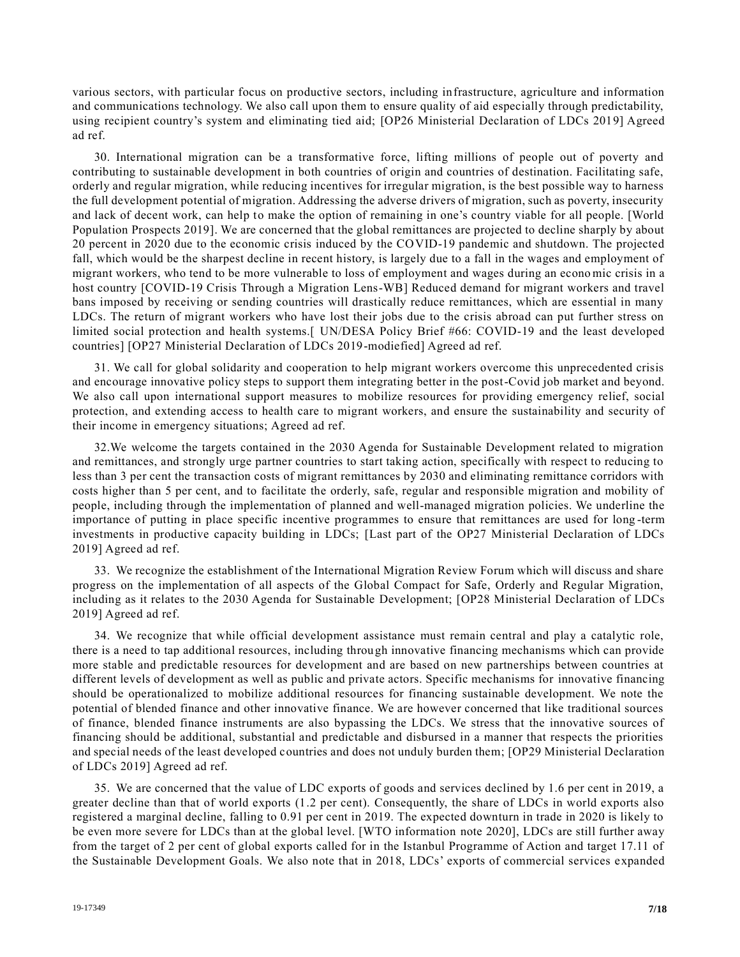various sectors, with particular focus on productive sectors, including infrastructure, agriculture and information and communications technology. We also call upon them to ensure quality of aid especially through predictability, using recipient country's system and eliminating tied aid; [OP26 Ministerial Declaration of LDCs 2019] Agreed ad ref.

30. International migration can be a transformative force, lifting millions of people out of poverty and contributing to sustainable development in both countries of origin and countries of destination. Facilitating safe, orderly and regular migration, while reducing incentives for irregular migration, is the best possible way to harness the full development potential of migration. Addressing the adverse drivers of migration, such as poverty, insecurity and lack of decent work, can help to make the option of remaining in one's country viable for all people. [World Population Prospects 2019]. We are concerned that the global remittances are projected to decline sharply by about 20 percent in 2020 due to the economic crisis induced by the COVID-19 pandemic and shutdown. The projected fall, which would be the sharpest decline in recent history, is largely due to a fall in the wages and employment of migrant workers, who tend to be more vulnerable to loss of employment and wages during an econo mic crisis in a host country [COVID-19 Crisis Through a Migration Lens-WB] Reduced demand for migrant workers and travel bans imposed by receiving or sending countries will drastically reduce remittances, which are essential in many LDCs. The return of migrant workers who have lost their jobs due to the crisis abroad can put further stress on limited social protection and health systems.[ UN/DESA Policy Brief #66: COVID-19 and the least developed countries] [OP27 Ministerial Declaration of LDCs 2019-modiefied] Agreed ad ref.

31. We call for global solidarity and cooperation to help migrant workers overcome this unprecedented crisis and encourage innovative policy steps to support them integrating better in the post-Covid job market and beyond. We also call upon international support measures to mobilize resources for providing emergency relief, social protection, and extending access to health care to migrant workers, and ensure the sustainability and security of their income in emergency situations; Agreed ad ref.

32.We welcome the targets contained in the 2030 Agenda for Sustainable Development related to migration and remittances, and strongly urge partner countries to start taking action, specifically with respect to reducing to less than 3 per cent the transaction costs of migrant remittances by 2030 and eliminating remittance corridors with costs higher than 5 per cent, and to facilitate the orderly, safe, regular and responsible migration and mobility of people, including through the implementation of planned and well-managed migration policies. We underline the importance of putting in place specific incentive programmes to ensure that remittances are used for long -term investments in productive capacity building in LDCs; [Last part of the OP27 Ministerial Declaration of LDCs 2019] Agreed ad ref.

33. We recognize the establishment of the International Migration Review Forum which will discuss and share progress on the implementation of all aspects of the Global Compact for Safe, Orderly and Regular Migration, including as it relates to the 2030 Agenda for Sustainable Development; [OP28 Ministerial Declaration of LDCs 2019] Agreed ad ref.

34. We recognize that while official development assistance must remain central and play a catalytic role, there is a need to tap additional resources, including through innovative financing mechanisms which can provide more stable and predictable resources for development and are based on new partnerships between countries at different levels of development as well as public and private actors. Specific mechanisms for innovative financing should be operationalized to mobilize additional resources for financing sustainable development. We note the potential of blended finance and other innovative finance. We are however concerned that like traditional sources of finance, blended finance instruments are also bypassing the LDCs. We stress that the innovative sources of financing should be additional, substantial and predictable and disbursed in a manner that respects the priorities and special needs of the least developed countries and does not unduly burden them; [OP29 Ministerial Declaration of LDCs 2019] Agreed ad ref.

35. We are concerned that the value of LDC exports of goods and services declined by 1.6 per cent in 2019, a greater decline than that of world exports (1.2 per cent). Consequently, the share of LDCs in world exports also registered a marginal decline, falling to 0.91 per cent in 2019. The expected downturn in trade in 2020 is likely to be even more severe for LDCs than at the global level. [WTO information note 2020], LDCs are still further away from the target of 2 per cent of global exports called for in the Istanbul Programme of Action and target 17.11 of the Sustainable Development Goals. We also note that in 2018, LDCs' exports of commercial services expanded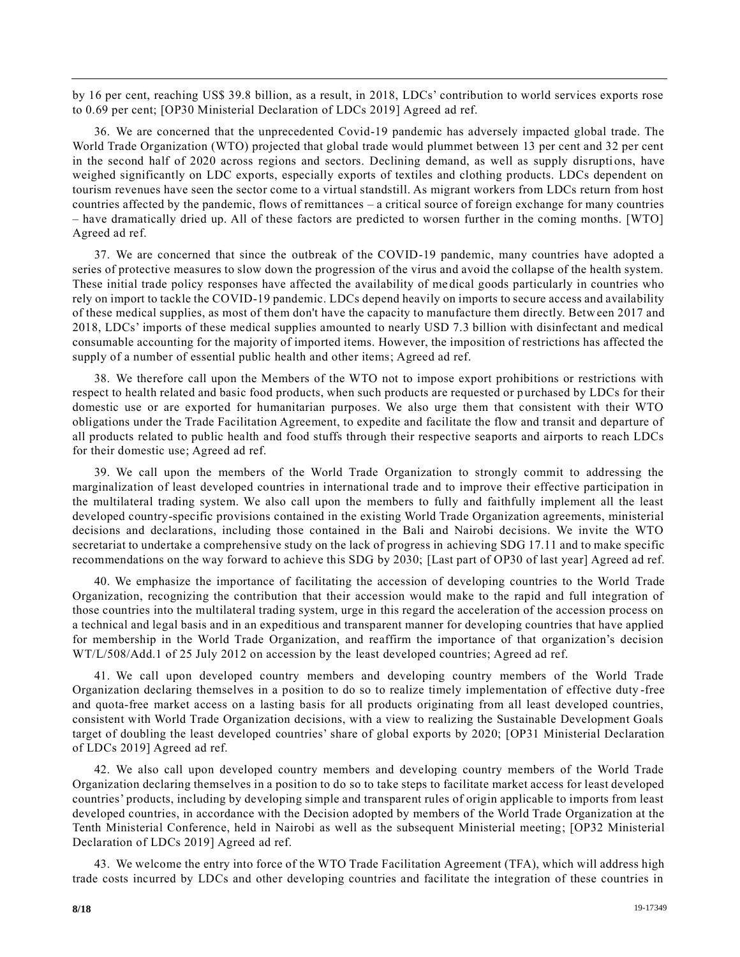by 16 per cent, reaching US\$ 39.8 billion, as a result, in 2018, LDCs' contribution to world services exports rose to 0.69 per cent; [OP30 Ministerial Declaration of LDCs 2019] Agreed ad ref.

36. We are concerned that the unprecedented Covid-19 pandemic has adversely impacted global trade. The World Trade Organization (WTO) projected that global trade would plummet between 13 per cent and 32 per cent in the second half of 2020 across regions and sectors. Declining demand, as well as supply disruptions, have weighed significantly on LDC exports, especially exports of textiles and clothing products. LDCs dependent on tourism revenues have seen the sector come to a virtual standstill. As migrant workers from LDCs return from host countries affected by the pandemic, flows of remittances – a critical source of foreign exchange for many countries – have dramatically dried up. All of these factors are predicted to worsen further in the coming months. [WTO] Agreed ad ref.

37. We are concerned that since the outbreak of the COVID-19 pandemic, many countries have adopted a series of protective measures to slow down the progression of the virus and avoid the collapse of the health system. These initial trade policy responses have affected the availability of me dical goods particularly in countries who rely on import to tackle the COVID-19 pandemic. LDCs depend heavily on imports to secure access and availability of these medical supplies, as most of them don't have the capacity to manufacture them directly. Between 2017 and 2018, LDCs' imports of these medical supplies amounted to nearly USD 7.3 billion with disinfectant and medical consumable accounting for the majority of imported items. However, the imposition of restrictions has affected the supply of a number of essential public health and other items; Agreed ad ref.

38. We therefore call upon the Members of the WTO not to impose export prohibitions or restrictions with respect to health related and basic food products, when such products are requested or purchased by LDCs for their domestic use or are exported for humanitarian purposes. We also urge them that consistent with their WTO obligations under the Trade Facilitation Agreement, to expedite and facilitate the flow and transit and departure of all products related to public health and food stuffs through their respective seaports and airports to reach LDCs for their domestic use; Agreed ad ref.

39. We call upon the members of the World Trade Organization to strongly commit to addressing the marginalization of least developed countries in international trade and to improve their effective participation in the multilateral trading system. We also call upon the members to fully and faithfully implement all the least developed country-specific provisions contained in the existing World Trade Organization agreements, ministerial decisions and declarations, including those contained in the Bali and Nairobi decisions. We invite the WTO secretariat to undertake a comprehensive study on the lack of progress in achieving SDG 17.11 and to make specific recommendations on the way forward to achieve this SDG by 2030; [Last part of OP30 of last year] Agreed ad ref.

40. We emphasize the importance of facilitating the accession of developing countries to the World Trade Organization, recognizing the contribution that their accession would make to the rapid and full integration of those countries into the multilateral trading system, urge in this regard the acceleration of the accession process on a technical and legal basis and in an expeditious and transparent manner for developing countries that have applied for membership in the World Trade Organization, and reaffirm the importance of that organization's decision WT/L/508/Add.1 of 25 July 2012 on accession by the least developed countries; Agreed ad ref.

41. We call upon developed country members and developing country members of the World Trade Organization declaring themselves in a position to do so to realize timely implementation of effective duty -free and quota-free market access on a lasting basis for all products originating from all least developed countries, consistent with World Trade Organization decisions, with a view to realizing the Sustainable Development Goals target of doubling the least developed countries' share of global exports by 2020; [OP31 Ministerial Declaration of LDCs 2019] Agreed ad ref.

42. We also call upon developed country members and developing country members of the World Trade Organization declaring themselves in a position to do so to take steps to facilitate market access for least developed countries' products, including by developing simple and transparent rules of origin applicable to imports from least developed countries, in accordance with the Decision adopted by members of the World Trade Organization at the Tenth Ministerial Conference, held in Nairobi as well as the subsequent Ministerial meeting; [OP32 Ministerial Declaration of LDCs 2019] Agreed ad ref.

43. We welcome the entry into force of the WTO Trade Facilitation Agreement (TFA), which will address high trade costs incurred by LDCs and other developing countries and facilitate the integration of these countries in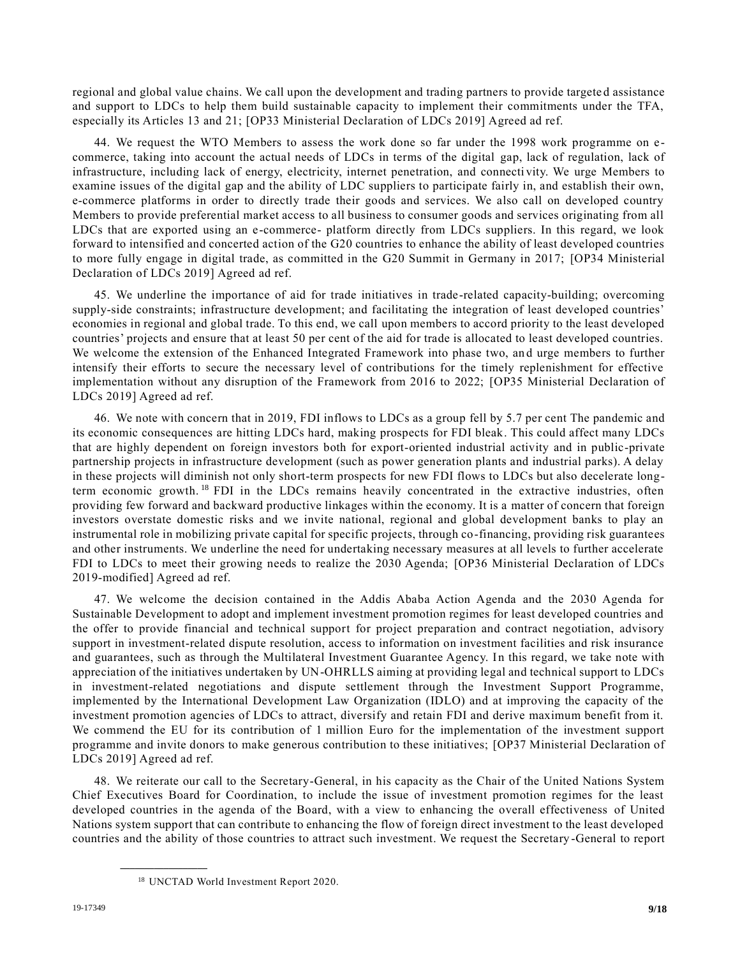regional and global value chains. We call upon the development and trading partners to provide targete d assistance and support to LDCs to help them build sustainable capacity to implement their commitments under the TFA, especially its Articles 13 and 21; [OP33 Ministerial Declaration of LDCs 2019] Agreed ad ref.

44. We request the WTO Members to assess the work done so far under the 1998 work programme on e commerce, taking into account the actual needs of LDCs in terms of the digital gap, lack of regulation, lack of infrastructure, including lack of energy, electricity, internet penetration, and connecti vity. We urge Members to examine issues of the digital gap and the ability of LDC suppliers to participate fairly in, and establish their own, e-commerce platforms in order to directly trade their goods and services. We also call on developed country Members to provide preferential market access to all business to consumer goods and services originating from all LDCs that are exported using an e-commerce- platform directly from LDCs suppliers. In this regard, we look forward to intensified and concerted action of the G20 countries to enhance the ability of least developed countries to more fully engage in digital trade, as committed in the G20 Summit in Germany in 2017; [OP34 Ministerial Declaration of LDCs 2019] Agreed ad ref.

45. We underline the importance of aid for trade initiatives in trade-related capacity-building; overcoming supply-side constraints; infrastructure development; and facilitating the integration of least developed countries' economies in regional and global trade. To this end, we call upon members to accord priority to the least developed countries' projects and ensure that at least 50 per cent of the aid for trade is allocated to least developed countries. We welcome the extension of the Enhanced Integrated Framework into phase two, an d urge members to further intensify their efforts to secure the necessary level of contributions for the timely replenishment for effective implementation without any disruption of the Framework from 2016 to 2022; [OP35 Ministerial Declaration of LDCs 2019] Agreed ad ref.

46. We note with concern that in 2019, FDI inflows to LDCs as a group fell by 5.7 per cent The pandemic and its economic consequences are hitting LDCs hard, making prospects for FDI bleak. This could affect many LDCs that are highly dependent on foreign investors both for export-oriented industrial activity and in public-private partnership projects in infrastructure development (such as power generation plants and industrial parks). A delay in these projects will diminish not only short-term prospects for new FDI flows to LDCs but also decelerate longterm economic growth.<sup>18</sup> FDI in the LDCs remains heavily concentrated in the extractive industries, often providing few forward and backward productive linkages within the economy. It is a matter of concern that foreign investors overstate domestic risks and we invite national, regional and global development banks to play an instrumental role in mobilizing private capital for specific projects, through co-financing, providing risk guarantees and other instruments. We underline the need for undertaking necessary measures at all levels to further accelerate FDI to LDCs to meet their growing needs to realize the 2030 Agenda; [OP36 Ministerial Declaration of LDCs 2019-modified] Agreed ad ref.

47. We welcome the decision contained in the Addis Ababa Action Agenda and the 2030 Agenda for Sustainable Development to adopt and implement investment promotion regimes for least developed countries and the offer to provide financial and technical support for project preparation and contract negotiation, advisory support in investment-related dispute resolution, access to information on investment facilities and risk insurance and guarantees, such as through the Multilateral Investment Guarantee Agency. In this regard, we take note with appreciation of the initiatives undertaken by UN-OHRLLS aiming at providing legal and technical support to LDCs in investment-related negotiations and dispute settlement through the Investment Support Programme, implemented by the International Development Law Organization (IDLO) and at improving the capacity of the investment promotion agencies of LDCs to attract, diversify and retain FDI and derive maximum benefit from it. We commend the EU for its contribution of 1 million Euro for the implementation of the investment support programme and invite donors to make generous contribution to these initiatives; [OP37 Ministerial Declaration of LDCs 2019] Agreed ad ref.

48. We reiterate our call to the Secretary-General, in his capacity as the Chair of the United Nations System Chief Executives Board for Coordination, to include the issue of investment promotion regimes for the least developed countries in the agenda of the Board, with a view to enhancing the overall effectiveness of United Nations system support that can contribute to enhancing the flow of foreign direct investment to the least developed countries and the ability of those countries to attract such investment. We request the Secretary -General to report

<sup>18</sup> UNCTAD World Investment Report 2020.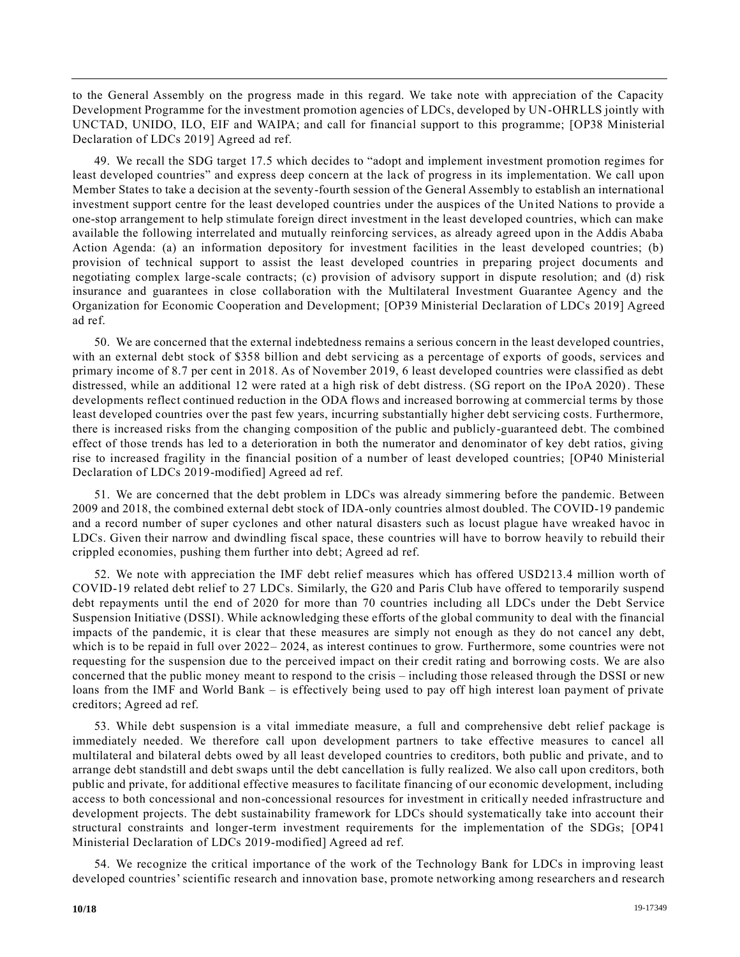to the General Assembly on the progress made in this regard. We take note with appreciation of the Capacity Development Programme for the investment promotion agencies of LDCs, developed by UN-OHRLLS jointly with UNCTAD, UNIDO, ILO, EIF and WAIPA; and call for financial support to this programme; [OP38 Ministerial Declaration of LDCs 2019] Agreed ad ref.

49. We recall the SDG target 17.5 which decides to "adopt and implement investment promotion regimes for least developed countries" and express deep concern at the lack of progress in its implementation. We call upon Member States to take a decision at the seventy-fourth session of the General Assembly to establish an international investment support centre for the least developed countries under the auspices of the Un ited Nations to provide a one-stop arrangement to help stimulate foreign direct investment in the least developed countries, which can make available the following interrelated and mutually reinforcing services, as already agreed upon in the Addis Ababa Action Agenda: (a) an information depository for investment facilities in the least developed countries; (b) provision of technical support to assist the least developed countries in preparing project documents and negotiating complex large-scale contracts; (c) provision of advisory support in dispute resolution; and (d) risk insurance and guarantees in close collaboration with the Multilateral Investment Guarantee Agency and the Organization for Economic Cooperation and Development; [OP39 Ministerial Declaration of LDCs 2019] Agreed ad ref.

50. We are concerned that the external indebtedness remains a serious concern in the least developed countries, with an external debt stock of \$358 billion and debt servicing as a percentage of exports of goods, services and primary income of 8.7 per cent in 2018. As of November 2019, 6 least developed countries were classified as debt distressed, while an additional 12 were rated at a high risk of debt distress. (SG report on the IPoA 2020). These developments reflect continued reduction in the ODA flows and increased borrowing at commercial terms by those least developed countries over the past few years, incurring substantially higher debt servicing costs. Furthermore, there is increased risks from the changing composition of the public and publicly-guaranteed debt. The combined effect of those trends has led to a deterioration in both the numerator and denominator of key debt ratios, giving rise to increased fragility in the financial position of a number of least developed countries; [OP40 Ministerial Declaration of LDCs 2019-modified] Agreed ad ref.

51. We are concerned that the debt problem in LDCs was already simmering before the pandemic. Between 2009 and 2018, the combined external debt stock of IDA-only countries almost doubled. The COVID-19 pandemic and a record number of super cyclones and other natural disasters such as locust plague have wreaked havoc in LDCs. Given their narrow and dwindling fiscal space, these countries will have to borrow heavily to rebuild their crippled economies, pushing them further into debt; Agreed ad ref.

52. We note with appreciation the IMF debt relief measures which has offered USD213.4 million worth of COVID-19 related debt relief to 27 LDCs. Similarly, the G20 and Paris Club have offered to temporarily suspend debt repayments until the end of 2020 for more than 70 countries including all LDCs under the Debt Service Suspension Initiative (DSSI). While acknowledging these efforts of the global community to deal with the financial impacts of the pandemic, it is clear that these measures are simply not enough as they do not cancel any debt, which is to be repaid in full over 2022–2024, as interest continues to grow. Furthermore, some countries were not requesting for the suspension due to the perceived impact on their credit rating and borrowing costs. We are also concerned that the public money meant to respond to the crisis – including those released through the DSSI or new loans from the IMF and World Bank – is effectively being used to pay off high interest loan payment of private creditors; Agreed ad ref.

53. While debt suspension is a vital immediate measure, a full and comprehensive debt relief package is immediately needed. We therefore call upon development partners to take effective measures to cancel all multilateral and bilateral debts owed by all least developed countries to creditors, both public and private, and to arrange debt standstill and debt swaps until the debt cancellation is fully realized. We also call upon creditors, both public and private, for additional effective measures to facilitate financing of our economic development, including access to both concessional and non-concessional resources for investment in critically needed infrastructure and development projects. The debt sustainability framework for LDCs should systematically take into account their structural constraints and longer-term investment requirements for the implementation of the SDGs; [OP41 Ministerial Declaration of LDCs 2019-modified] Agreed ad ref.

54. We recognize the critical importance of the work of the Technology Bank for LDCs in improving least developed countries' scientific research and innovation base, promote networking among researchers and research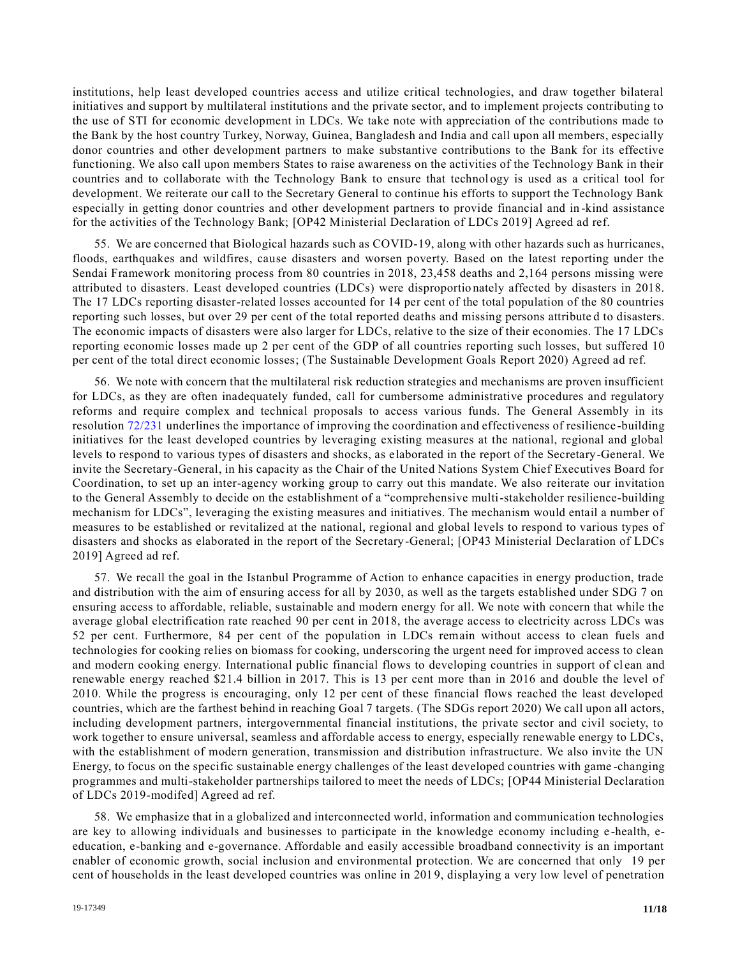institutions, help least developed countries access and utilize critical technologies, and draw together bilateral initiatives and support by multilateral institutions and the private sector, and to implement projects contributing to the use of STI for economic development in LDCs. We take note with appreciation of the contributions made to the Bank by the host country Turkey, Norway, Guinea, Bangladesh and India and call upon all members, especially donor countries and other development partners to make substantive contributions to the Bank for its effective functioning. We also call upon members States to raise awareness on the activities of the Technology Bank in their countries and to collaborate with the Technology Bank to ensure that technol ogy is used as a critical tool for development. We reiterate our call to the Secretary General to continue his efforts to support the Technology Bank especially in getting donor countries and other development partners to provide financial and in -kind assistance for the activities of the Technology Bank; [OP42 Ministerial Declaration of LDCs 2019] Agreed ad ref.

55. We are concerned that Biological hazards such as COVID-19, along with other hazards such as hurricanes, floods, earthquakes and wildfires, cause disasters and worsen poverty. Based on the latest reporting under the Sendai Framework monitoring process from 80 countries in 2018, 23,458 deaths and 2,164 persons missing were attributed to disasters. Least developed countries (LDCs) were disproportio nately affected by disasters in 2018. The 17 LDCs reporting disaster-related losses accounted for 14 per cent of the total population of the 80 countries reporting such losses, but over 29 per cent of the total reported deaths and missing persons attribute d to disasters. The economic impacts of disasters were also larger for LDCs, relative to the size of their economies. The 17 LDCs reporting economic losses made up 2 per cent of the GDP of all countries reporting such losses, but suffered 10 per cent of the total direct economic losses; (The Sustainable Development Goals Report 2020) Agreed ad ref.

56. We note with concern that the multilateral risk reduction strategies and mechanisms are proven insufficient for LDCs, as they are often inadequately funded, call for cumbersome administrative procedures and regulatory reforms and require complex and technical proposals to access various funds. The General Assembly in its resolution [72/231](https://undocs.org/en/A/RES/72/231) underlines the importance of improving the coordination and effectiveness of resilience -building initiatives for the least developed countries by leveraging existing measures at the national, regional and global levels to respond to various types of disasters and shocks, as elaborated in the report of the Secretary-General. We invite the Secretary-General, in his capacity as the Chair of the United Nations System Chief Executives Board for Coordination, to set up an inter-agency working group to carry out this mandate. We also reiterate our invitation to the General Assembly to decide on the establishment of a "comprehensive multi-stakeholder resilience-building mechanism for LDCs", leveraging the existing measures and initiatives. The mechanism would entail a number of measures to be established or revitalized at the national, regional and global levels to respond to various types of disasters and shocks as elaborated in the report of the Secretary-General; [OP43 Ministerial Declaration of LDCs 2019] Agreed ad ref.

57. We recall the goal in the Istanbul Programme of Action to enhance capacities in energy production, trade and distribution with the aim of ensuring access for all by 2030, as well as the targets established under SDG 7 on ensuring access to affordable, reliable, sustainable and modern energy for all. We note with concern that while the average global electrification rate reached 90 per cent in 2018, the average access to electricity across LDCs was 52 per cent. Furthermore, 84 per cent of the population in LDCs remain without access to clean fuels and technologies for cooking relies on biomass for cooking, underscoring the urgent need for improved access to clean and modern cooking energy. International public financial flows to developing countries in support of clean and renewable energy reached \$21.4 billion in 2017. This is 13 per cent more than in 2016 and double the level of 2010. While the progress is encouraging, only 12 per cent of these financial flows reached the least developed countries, which are the farthest behind in reaching Goal 7 targets. (The SDGs report 2020) We call upon all actors, including development partners, intergovernmental financial institutions, the private sector and civil society, to work together to ensure universal, seamless and affordable access to energy, especially renewable energy to LDCs, with the establishment of modern generation, transmission and distribution infrastructure. We also invite the UN Energy, to focus on the specific sustainable energy challenges of the least developed countries with game -changing programmes and multi-stakeholder partnerships tailored to meet the needs of LDCs; [OP44 Ministerial Declaration of LDCs 2019-modifed] Agreed ad ref.

58. We emphasize that in a globalized and interconnected world, information and communication technologies are key to allowing individuals and businesses to participate in the knowledge economy including e -health, eeducation, e-banking and e-governance. Affordable and easily accessible broadband connectivity is an important enabler of economic growth, social inclusion and environmental protection. We are concerned that only 19 per cent of households in the least developed countries was online in 201 9, displaying a very low level of penetration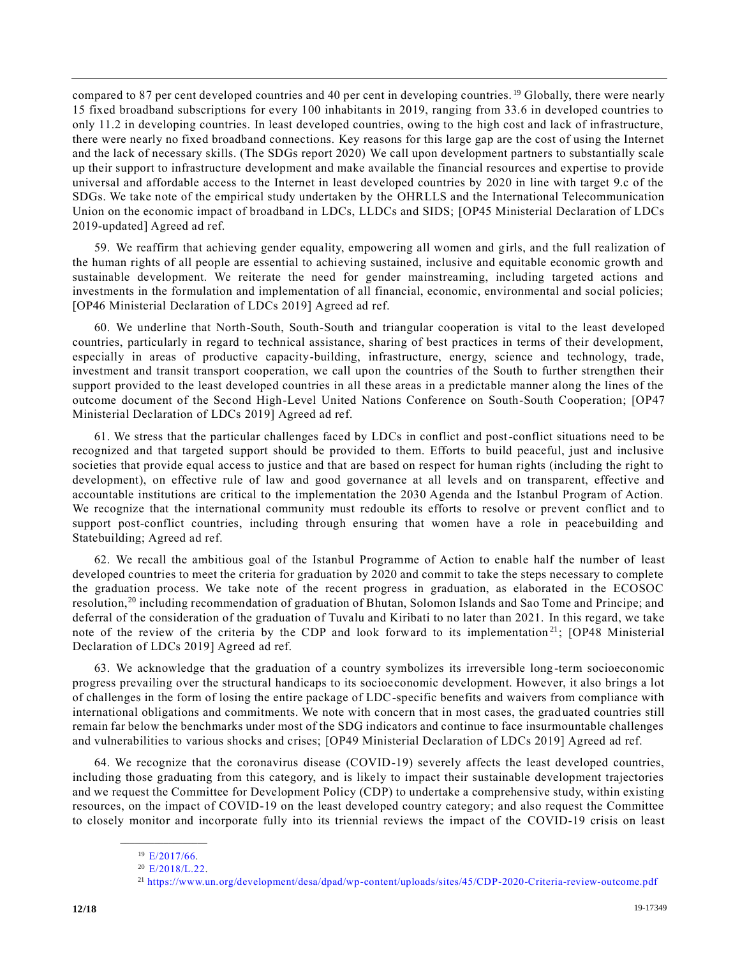compared to 87 per cent developed countries and 40 per cent in developing countries. <sup>19</sup> Globally, there were nearly 15 fixed broadband subscriptions for every 100 inhabitants in 2019, ranging from 33.6 in developed countries to only 11.2 in developing countries. In least developed countries, owing to the high cost and lack of infrastructure, there were nearly no fixed broadband connections. Key reasons for this large gap are the cost of using the Internet and the lack of necessary skills. (The SDGs report 2020) We call upon development partners to substantially scale up their support to infrastructure development and make available the financial resources and expertise to provide universal and affordable access to the Internet in least developed countries by 2020 in line with target 9.c of the SDGs. We take note of the empirical study undertaken by the OHRLLS and the International Telecommunication Union on the economic impact of broadband in LDCs, LLDCs and SIDS; [OP45 Ministerial Declaration of LDCs 2019-updated] Agreed ad ref.

59. We reaffirm that achieving gender equality, empowering all women and girls, and the full realization of the human rights of all people are essential to achieving sustained, inclusive and equitable economic growth and sustainable development. We reiterate the need for gender mainstreaming, including targeted actions and investments in the formulation and implementation of all financial, economic, environmental and social policies; [OP46 Ministerial Declaration of LDCs 2019] Agreed ad ref.

60. We underline that North-South, South-South and triangular cooperation is vital to the least developed countries, particularly in regard to technical assistance, sharing of best practices in terms of their development, especially in areas of productive capacity-building, infrastructure, energy, science and technology, trade, investment and transit transport cooperation, we call upon the countries of the South to further strengthen their support provided to the least developed countries in all these areas in a predictable manner along the lines of the outcome document of the Second High-Level United Nations Conference on South-South Cooperation; [OP47 Ministerial Declaration of LDCs 2019] Agreed ad ref.

61. We stress that the particular challenges faced by LDCs in conflict and post-conflict situations need to be recognized and that targeted support should be provided to them. Efforts to build peaceful, just and inclusive societies that provide equal access to justice and that are based on respect for human rights (including the right to development), on effective rule of law and good governance at all levels and on transparent, effective and accountable institutions are critical to the implementation the 2030 Agenda and the Istanbul Program of Action. We recognize that the international community must redouble its efforts to resolve or prevent conflict and to support post-conflict countries, including through ensuring that women have a role in peacebuilding and Statebuilding; Agreed ad ref.

62. We recall the ambitious goal of the Istanbul Programme of Action to enable half the number of least developed countries to meet the criteria for graduation by 2020 and commit to take the steps necessary to complete the graduation process. We take note of the recent progress in graduation, as elaborated in the ECOSOC resolution,<sup>20</sup> including recommendation of graduation of Bhutan, Solomon Islands and Sao Tome and Principe; and deferral of the consideration of the graduation of Tuvalu and Kiribati to no later than 2021. In this regard, we take note of the review of the criteria by the CDP and look forward to its implementation<sup>21</sup>; [OP48 Ministerial Declaration of LDCs 2019] Agreed ad ref.

63. We acknowledge that the graduation of a country symbolizes its irreversible long -term socioeconomic progress prevailing over the structural handicaps to its socioeconomic development. However, it also brings a lot of challenges in the form of losing the entire package of LDC-specific benefits and waivers from compliance with international obligations and commitments. We note with concern that in most cases, the grad uated countries still remain far below the benchmarks under most of the SDG indicators and continue to face insurmountable challenges and vulnerabilities to various shocks and crises; [OP49 Ministerial Declaration of LDCs 2019] Agreed ad ref.

64. We recognize that the coronavirus disease (COVID-19) severely affects the least developed countries, including those graduating from this category, and is likely to impact their sustainable development trajectories and we request the Committee for Development Policy (CDP) to undertake a comprehensive study, within existing resources, on the impact of COVID-19 on the least developed country category; and also request the Committee to closely monitor and incorporate fully into its triennial reviews the impact of the COVID-19 crisis on least

**\_\_\_\_\_\_\_\_\_\_\_\_\_\_\_\_\_\_** <sup>19</sup> [E/2017/66.](https://undocs.org/en/E/2017/66)

 $20$  [E/2018/L.22.](https://undocs.org/en/E/2018/L.22)

<sup>21</sup> <https://www.un.org/development/desa/dpad/wp-content/uploads/sites/45/CDP-2020-Criteria-review-outcome.pdf>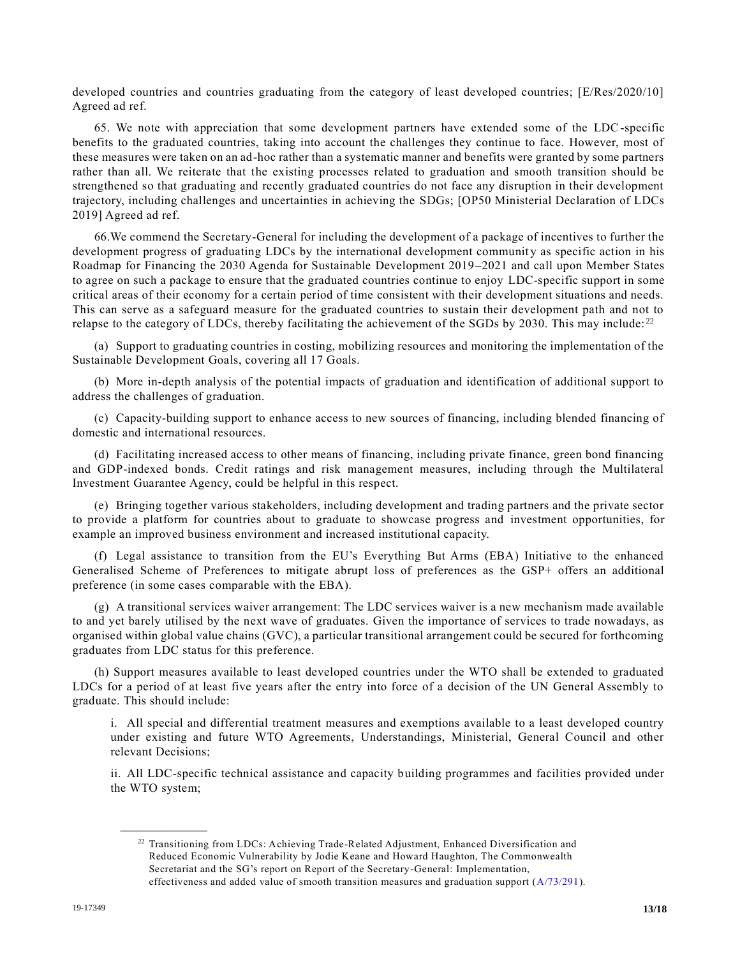developed countries and countries graduating from the category of least developed countries; [E/Res/2020/10] Agreed ad ref.

65. We note with appreciation that some development partners have extended some of the LDC-specific benefits to the graduated countries, taking into account the challenges they continue to face. However, most of these measures were taken on an ad-hoc rather than a systematic manner and benefits were granted by some partners rather than all. We reiterate that the existing processes related to graduation and smooth transition should be strengthened so that graduating and recently graduated countries do not face any disruption in their development trajectory, including challenges and uncertainties in achieving the SDGs; [OP50 Ministerial Declaration of LDCs 2019] Agreed ad ref.

66.We commend the Secretary-General for including the development of a package of incentives to further the development progress of graduating LDCs by the international development community as specific action in his Roadmap for Financing the 2030 Agenda for Sustainable Development 2019–2021 and call upon Member States to agree on such a package to ensure that the graduated countries continue to enjoy LDC-specific support in some critical areas of their economy for a certain period of time consistent with their development situations and needs. This can serve as a safeguard measure for the graduated countries to sustain their development path and not to relapse to the category of LDCs, thereby facilitating the achievement of the SGDs by 2030. This may include:  $2^2$ 

(a) Support to graduating countries in costing, mobilizing resources and monitoring the implementation of the Sustainable Development Goals, covering all 17 Goals.

(b) More in-depth analysis of the potential impacts of graduation and identification of additional support to address the challenges of graduation.

(c) Capacity-building support to enhance access to new sources of financing, including blended financing of domestic and international resources.

(d) Facilitating increased access to other means of financing, including private finance, green bond financing and GDP-indexed bonds. Credit ratings and risk management measures, including through the Multilateral Investment Guarantee Agency, could be helpful in this respect.

(e) Bringing together various stakeholders, including development and trading partners and the private sector to provide a platform for countries about to graduate to showcase progress and investment opportunities, for example an improved business environment and increased institutional capacity.

(f) Legal assistance to transition from the EU's Everything But Arms (EBA) Initiative to the enhanced Generalised Scheme of Preferences to mitigate abrupt loss of preferences as the GSP+ offers an additional preference (in some cases comparable with the EBA).

(g) A transitional services waiver arrangement: The LDC services waiver is a new mechanism made available to and yet barely utilised by the next wave of graduates. Given the importance of services to trade nowadays, as organised within global value chains (GVC), a particular transitional arrangement could be secured for forthcoming graduates from LDC status for this preference.

(h) Support measures available to least developed countries under the WTO shall be extended to graduated LDCs for a period of at least five years after the entry into force of a decision of the UN General Assembly to graduate. This should include:

i. All special and differential treatment measures and exemptions available to a least developed country under existing and future WTO Agreements, Understandings, Ministerial, General Council and other relevant Decisions;

ii. All LDC-specific technical assistance and capacity building programmes and facilities provided under the WTO system;

<sup>&</sup>lt;sup>22</sup> Transitioning from LDCs: Achieving Trade-Related Adjustment, Enhanced Diversification and Reduced Economic Vulnerability by Jodie Keane and Howard Haughton, The Commonwealth Secretariat and the SG's report on Report of the Secretary-General: Implementation, effectiveness and added value of smooth transition measures and graduation support [\(A/73/291\)](https://undocs.org/en/A/73/291).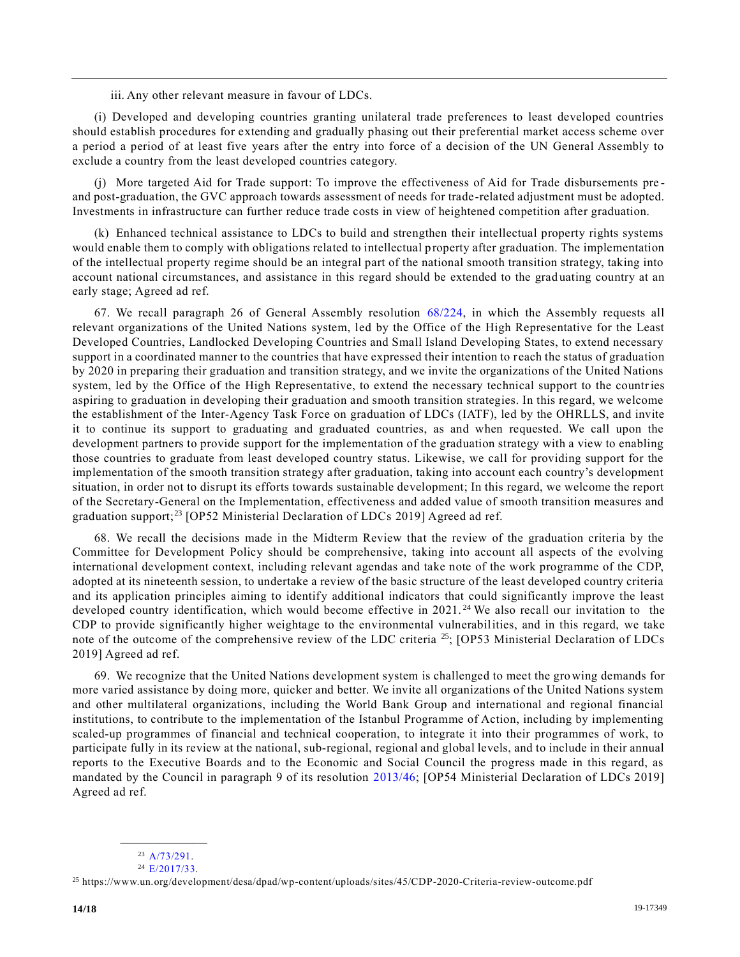iii. Any other relevant measure in favour of LDCs.

(i) Developed and developing countries granting unilateral trade preferences to least developed countries should establish procedures for extending and gradually phasing out their preferential market access scheme over a period a period of at least five years after the entry into force of a decision of the UN General Assembly to exclude a country from the least developed countries category.

(j) More targeted Aid for Trade support: To improve the effectiveness of Aid for Trade disbursements pre and post-graduation, the GVC approach towards assessment of needs for trade-related adjustment must be adopted. Investments in infrastructure can further reduce trade costs in view of heightened competition after graduation.

(k) Enhanced technical assistance to LDCs to build and strengthen their intellectual property rights systems would enable them to comply with obligations related to intellectual property after graduation. The implementation of the intellectual property regime should be an integral part of the national smooth transition strategy, taking into account national circumstances, and assistance in this regard should be extended to the grad uating country at an early stage; Agreed ad ref.

67. We recall paragraph 26 of General Assembly resolution [68/224,](https://undocs.org/en/A/RES/68/224) in which the Assembly requests all relevant organizations of the United Nations system, led by the Office of the High Representative for the Least Developed Countries, Landlocked Developing Countries and Small Island Developing States, to extend necessary support in a coordinated manner to the countries that have expressed their intention to reach the status of graduation by 2020 in preparing their graduation and transition strategy, and we invite the organizations of the United Nations system, led by the Office of the High Representative, to extend the necessary technical support to the countries aspiring to graduation in developing their graduation and smooth transition strategies. In this regard, we welcome the establishment of the Inter-Agency Task Force on graduation of LDCs (IATF), led by the OHRLLS, and invite it to continue its support to graduating and graduated countries, as and when requested. We call upon the development partners to provide support for the implementation of the graduation strategy with a view to enabling those countries to graduate from least developed country status. Likewise, we call for providing support for the implementation of the smooth transition strategy after graduation, taking into account each country's development situation, in order not to disrupt its efforts towards sustainable development; In this regard, we welcome the report of the Secretary-General on the Implementation, effectiveness and added value of smooth transition measures and graduation support;<sup>23</sup> [OP52 Ministerial Declaration of LDCs 2019] Agreed ad ref.

68. We recall the decisions made in the Midterm Review that the review of the graduation criteria by the Committee for Development Policy should be comprehensive, taking into account all aspects of the evolving international development context, including relevant agendas and take note of the work programme of the CDP, adopted at its nineteenth session, to undertake a review of the basic structure of the least developed country criteria and its application principles aiming to identify additional indicators that could significantly improve the least developed country identification, which would become effective in 2021.<sup>24</sup> We also recall our invitation to the CDP to provide significantly higher weightage to the environmental vulnerabilities, and in this regard, we take note of the outcome of the comprehensive review of the LDC criteria <sup>25</sup>; [OP53 Ministerial Declaration of LDCs 2019] Agreed ad ref.

69. We recognize that the United Nations development system is challenged to meet the growing demands for more varied assistance by doing more, quicker and better. We invite all organizations of the United Nations system and other multilateral organizations, including the World Bank Group and international and regional financial institutions, to contribute to the implementation of the Istanbul Programme of Action, including by implementing scaled-up programmes of financial and technical cooperation, to integrate it into their programmes of work, to participate fully in its review at the national, sub-regional, regional and global levels, and to include in their annual reports to the Executive Boards and to the Economic and Social Council the progress made in this regard, as mandated by the Council in paragraph 9 of its resolution [2013/46;](https://undocs.org/en/E/RES/2013/46) [OP54 Ministerial Declaration of LDCs 2019] Agreed ad ref.

**\_\_\_\_\_\_\_\_\_\_\_\_\_\_\_\_\_\_**  $^{23}$  [A/73/291.](https://undocs.org/en/A/73/291)

 $24$  [E/2017/33.](https://undocs.org/en/E/2017/33)

<sup>25</sup> https://www.un.org/development/desa/dpad/wp-content/uploads/sites/45/CDP-2020-Criteria-review-outcome.pdf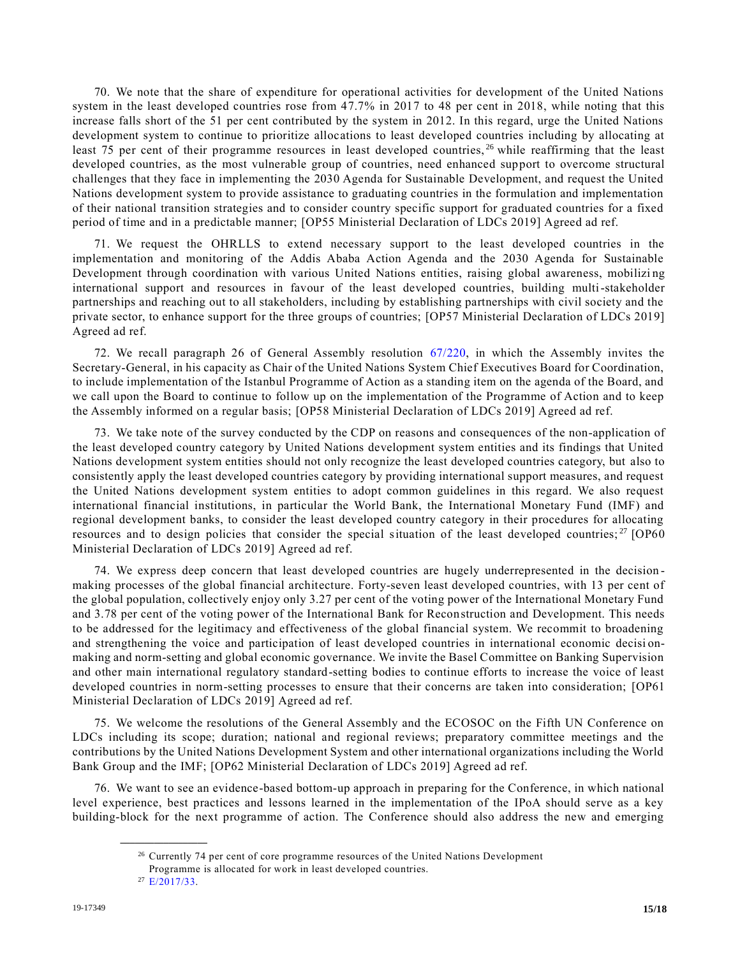70. We note that the share of expenditure for operational activities for development of the United Nations system in the least developed countries rose from 47.7% in 2017 to 48 per cent in 2018, while noting that this increase falls short of the 51 per cent contributed by the system in 2012. In this regard, urge the United Nations development system to continue to prioritize allocations to least developed countries including by allocating at least 75 per cent of their programme resources in least developed countries, <sup>26</sup> while reaffirming that the least developed countries, as the most vulnerable group of countries, need enhanced support to overcome structural challenges that they face in implementing the 2030 Agenda for Sustainable Development, and request the United Nations development system to provide assistance to graduating countries in the formulation and implementation of their national transition strategies and to consider country specific support for graduated countries for a fixed period of time and in a predictable manner; [OP55 Ministerial Declaration of LDCs 2019] Agreed ad ref.

71. We request the OHRLLS to extend necessary support to the least developed countries in the implementation and monitoring of the Addis Ababa Action Agenda and the 2030 Agenda for Sustainable Development through coordination with various United Nations entities, raising global awareness, mobilizi ng international support and resources in favour of the least developed countries, building multi-stakeholder partnerships and reaching out to all stakeholders, including by establishing partnerships with civil society and the private sector, to enhance support for the three groups of countries; [OP57 Ministerial Declaration of LDCs 2019] Agreed ad ref.

72. We recall paragraph 26 of General Assembly resolution [67/220,](https://undocs.org/en/A/RES/67/220) in which the Assembly invites the Secretary-General, in his capacity as Chair of the United Nations System Chief Executives Board for Coordination, to include implementation of the Istanbul Programme of Action as a standing item on the agenda of the Board, and we call upon the Board to continue to follow up on the implementation of the Programme of Action and to keep the Assembly informed on a regular basis; [OP58 Ministerial Declaration of LDCs 2019] Agreed ad ref.

73. We take note of the survey conducted by the CDP on reasons and consequences of the non-application of the least developed country category by United Nations development system entities and its findings that United Nations development system entities should not only recognize the least developed countries category, but also to consistently apply the least developed countries category by providing international support measures, and request the United Nations development system entities to adopt common guidelines in this regard. We also request international financial institutions, in particular the World Bank, the International Monetary Fund (IMF) and regional development banks, to consider the least developed country category in their procedures for allocating resources and to design policies that consider the special situation of the least developed countries;  $^{27}$  [OP60] Ministerial Declaration of LDCs 2019] Agreed ad ref.

74. We express deep concern that least developed countries are hugely underrepresented in the decision making processes of the global financial architecture. Forty-seven least developed countries, with 13 per cent of the global population, collectively enjoy only 3.27 per cent of the voting power of the International Monetary Fund and 3.78 per cent of the voting power of the International Bank for Reconstruction and Development. This needs to be addressed for the legitimacy and effectiveness of the global financial system. We recommit to broadening and strengthening the voice and participation of least developed countries in international economic decisi onmaking and norm-setting and global economic governance. We invite the Basel Committee on Banking Supervision and other main international regulatory standard-setting bodies to continue efforts to increase the voice of least developed countries in norm-setting processes to ensure that their concerns are taken into consideration; [OP61 Ministerial Declaration of LDCs 2019] Agreed ad ref.

75. We welcome the resolutions of the General Assembly and the ECOSOC on the Fifth UN Conference on LDCs including its scope; duration; national and regional reviews; preparatory committee meetings and the contributions by the United Nations Development System and other international organizations including the World Bank Group and the IMF; [OP62 Ministerial Declaration of LDCs 2019] Agreed ad ref.

76. We want to see an evidence-based bottom-up approach in preparing for the Conference, in which national level experience, best practices and lessons learned in the implementation of the IPoA should serve as a key building-block for the next programme of action. The Conference should also address the new and emerging

<sup>&</sup>lt;sup>26</sup> Currently 74 per cent of core programme resources of the United Nations Development

Programme is allocated for work in least developed countries.

<sup>27</sup> [E/2017/33.](https://undocs.org/en/E/2017/33)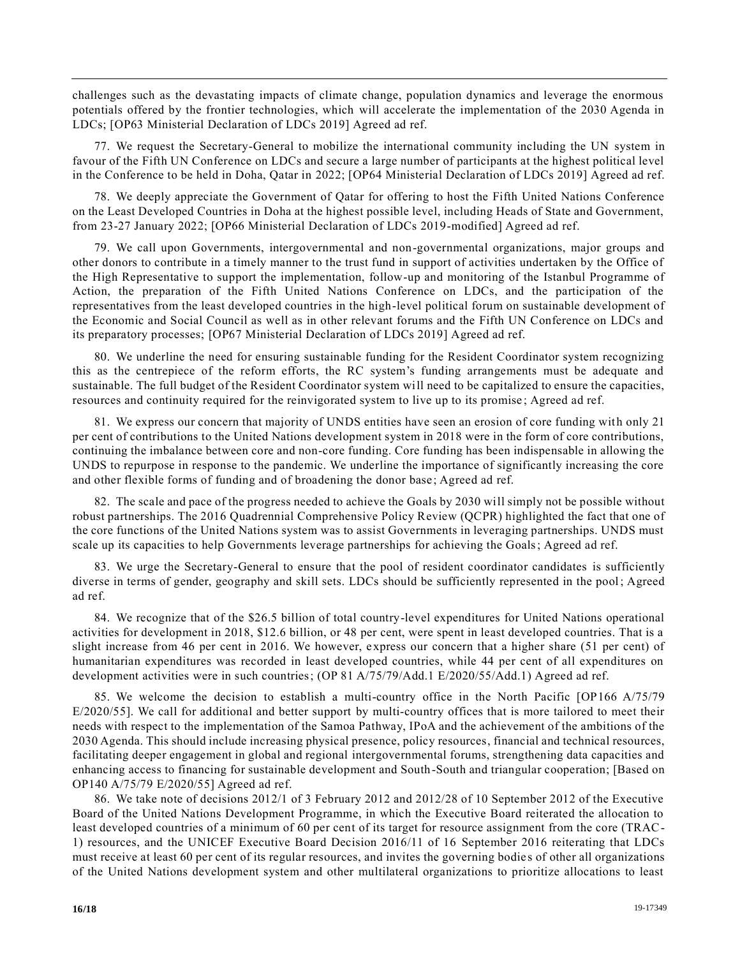challenges such as the devastating impacts of climate change, population dynamics and leverage the enormous potentials offered by the frontier technologies, which will accelerate the implementation of the 2030 Agenda in LDCs; [OP63 Ministerial Declaration of LDCs 2019] Agreed ad ref.

77. We request the Secretary-General to mobilize the international community including the UN system in favour of the Fifth UN Conference on LDCs and secure a large number of participants at the highest political level in the Conference to be held in Doha, Qatar in 2022; [OP64 Ministerial Declaration of LDCs 2019] Agreed ad ref.

78. We deeply appreciate the Government of Qatar for offering to host the Fifth United Nations Conference on the Least Developed Countries in Doha at the highest possible level, including Heads of State and Government, from 23-27 January 2022; [OP66 Ministerial Declaration of LDCs 2019-modified] Agreed ad ref.

79. We call upon Governments, intergovernmental and non-governmental organizations, major groups and other donors to contribute in a timely manner to the trust fund in support of activities undertaken by the Office of the High Representative to support the implementation, follow-up and monitoring of the Istanbul Programme of Action, the preparation of the Fifth United Nations Conference on LDCs, and the participation of the representatives from the least developed countries in the high-level political forum on sustainable development of the Economic and Social Council as well as in other relevant forums and the Fifth UN Conference on LDCs and its preparatory processes; [OP67 Ministerial Declaration of LDCs 2019] Agreed ad ref.

80. We underline the need for ensuring sustainable funding for the Resident Coordinator system recognizing this as the centrepiece of the reform efforts, the RC system's funding arrangements must be adequate and sustainable. The full budget of the Resident Coordinator system will need to be capitalized to ensure the capacities, resources and continuity required for the reinvigorated system to live up to its promise ; Agreed ad ref.

81. We express our concern that majority of UNDS entities have seen an erosion of core funding with only 21 per cent of contributions to the United Nations development system in 2018 were in the form of core contributions, continuing the imbalance between core and non-core funding. Core funding has been indispensable in allowing the UNDS to repurpose in response to the pandemic. We underline the importance of significantly increasing the core and other flexible forms of funding and of broadening the donor base; Agreed ad ref.

82. The scale and pace of the progress needed to achieve the Goals by 2030 will simply not be possible without robust partnerships. The 2016 Quadrennial Comprehensive Policy Review (QCPR) highlighted the fact that one of the core functions of the United Nations system was to assist Governments in leveraging partnerships. UNDS must scale up its capacities to help Governments leverage partnerships for achieving the Goals; Agreed ad ref.

83. We urge the Secretary-General to ensure that the pool of resident coordinator candidates is sufficiently diverse in terms of gender, geography and skill sets. LDCs should be sufficiently represented in the pool; Agreed ad ref.

84. We recognize that of the \$26.5 billion of total country-level expenditures for United Nations operational activities for development in 2018, \$12.6 billion, or 48 per cent, were spent in least developed countries. That is a slight increase from 46 per cent in 2016. We however, express our concern that a higher share (51 per cent) of humanitarian expenditures was recorded in least developed countries, while 44 per cent of all expenditures on development activities were in such countries; (OP 81 A/75/79/Add.1 E/2020/55/Add.1) Agreed ad ref.

85. We welcome the decision to establish a multi-country office in the North Pacific [OP166 A/75/79 E/2020/55]. We call for additional and better support by multi-country offices that is more tailored to meet their needs with respect to the implementation of the Samoa Pathway, IPoA and the achievement of the ambitions of the 2030 Agenda. This should include increasing physical presence, policy resources, financial and technical resources, facilitating deeper engagement in global and regional intergovernmental forums, strengthening data capacities and enhancing access to financing for sustainable development and South-South and triangular cooperation; [Based on OP140 A/75/79 E/2020/55] Agreed ad ref.

86. We take note of decisions 2012/1 of 3 February 2012 and 2012/28 of 10 September 2012 of the Executive Board of the United Nations Development Programme, in which the Executive Board reiterated the allocation to least developed countries of a minimum of 60 per cent of its target for resource assignment from the core (TRAC-1) resources, and the UNICEF Executive Board Decision 2016/11 of 16 September 2016 reiterating that LDCs must receive at least 60 per cent of its regular resources, and invites the governing bodie s of other all organizations of the United Nations development system and other multilateral organizations to prioritize allocations to least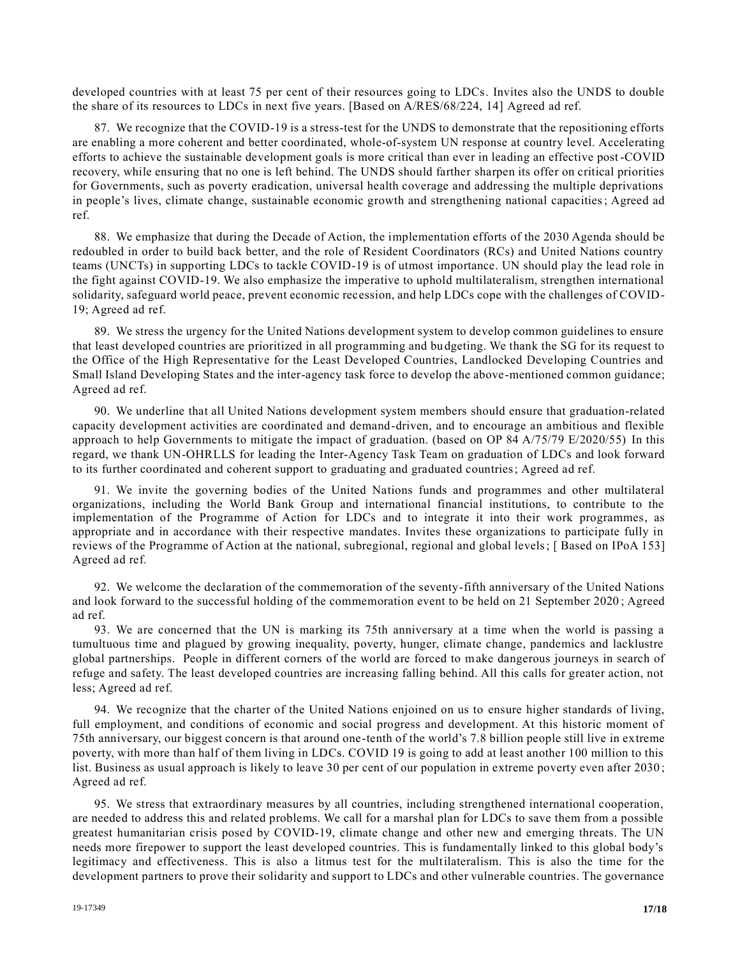developed countries with at least 75 per cent of their resources going to LDCs. Invites also the UNDS to double the share of its resources to LDCs in next five years. [Based on A/RES/68/224, 14] Agreed ad ref.

87. We recognize that the COVID-19 is a stress-test for the UNDS to demonstrate that the repositioning efforts are enabling a more coherent and better coordinated, whole-of-system UN response at country level. Accelerating efforts to achieve the sustainable development goals is more critical than ever in leading an effective post -COVID recovery, while ensuring that no one is left behind. The UNDS should farther sharpen its offer on critical priorities for Governments, such as poverty eradication, universal health coverage and addressing the multiple deprivations in people's lives, climate change, sustainable economic growth and strengthening national capacities; Agreed ad ref.

88. We emphasize that during the Decade of Action, the implementation efforts of the 2030 Agenda should be redoubled in order to build back better, and the role of Resident Coordinators (RCs) and United Nations country teams (UNCTs) in supporting LDCs to tackle COVID-19 is of utmost importance. UN should play the lead role in the fight against COVID-19. We also emphasize the imperative to uphold multilateralism, strengthen international solidarity, safeguard world peace, prevent economic recession, and help LDCs cope with the challenges of COVID-19; Agreed ad ref.

89. We stress the urgency for the United Nations development system to develop common guidelines to ensure that least developed countries are prioritized in all programming and bu dgeting. We thank the SG for its request to the Office of the High Representative for the Least Developed Countries, Landlocked Developing Countries and Small Island Developing States and the inter-agency task force to develop the above-mentioned common guidance; Agreed ad ref.

90. We underline that all United Nations development system members should ensure that graduation-related capacity development activities are coordinated and demand-driven, and to encourage an ambitious and flexible approach to help Governments to mitigate the impact of graduation. (based on OP 84 A/75/79 E/2020/55) In this regard, we thank UN-OHRLLS for leading the Inter-Agency Task Team on graduation of LDCs and look forward to its further coordinated and coherent support to graduating and graduated countries; Agreed ad ref.

91. We invite the governing bodies of the United Nations funds and programmes and other multilateral organizations, including the World Bank Group and international financial institutions, to contribute to the implementation of the Programme of Action for LDCs and to integrate it into their work programmes, as appropriate and in accordance with their respective mandates. Invites these organizations to participate fully in reviews of the Programme of Action at the national, subregional, regional and global levels; [ Based on IPoA 153] Agreed ad ref.

92. We welcome the declaration of the commemoration of the seventy-fifth anniversary of the United Nations and look forward to the successful holding of the commemoration event to be held on 21 September 2020 ; Agreed ad ref.

93. We are concerned that the UN is marking its 75th anniversary at a time when the world is passing a tumultuous time and plagued by growing inequality, poverty, hunger, climate change, pandemics and lacklustre global partnerships. People in different corners of the world are forced to make dangerous journeys in search of refuge and safety. The least developed countries are increasing falling behind. All this calls for greater action, not less; Agreed ad ref.

94. We recognize that the charter of the United Nations enjoined on us to ensure higher standards of living, full employment, and conditions of economic and social progress and development. At this historic moment of 75th anniversary, our biggest concern is that around one-tenth of the world's 7.8 billion people still live in extreme poverty, with more than half of them living in LDCs. COVID 19 is going to add at least another 100 million to this list. Business as usual approach is likely to leave 30 per cent of our population in extreme poverty even after 2030; Agreed ad ref.

95. We stress that extraordinary measures by all countries, including strengthened international cooperation, are needed to address this and related problems. We call for a marshal plan for LDCs to save them from a possible greatest humanitarian crisis posed by COVID-19, climate change and other new and emerging threats. The UN needs more firepower to support the least developed countries. This is fundamentally linked to this global body's legitimacy and effectiveness. This is also a litmus test for the multilateralism. This is also the time for the development partners to prove their solidarity and support to LDCs and other vulnerable countries. The governance